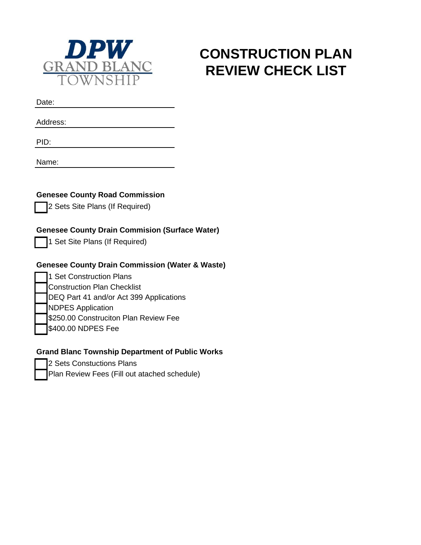

# **CONSTRUCTION PLAN REVIEW CHECK LIST**

Date:

Address:

PID:

Name:

**Genesee County Road Commission**

2 Sets Site Plans (If Required)

## **Genesee County Drain Commision (Surface Water)**

1 Set Site Plans (If Required)

## **Genesee County Drain Commission (Water & Waste)**

- 1 Set Construction Plans Construction Plan Checklist
- DEQ Part 41 and/or Act 399 Applications
- NDPES Application
- \$250.00 Construciton Plan Review Fee
- \$400.00 NDPES Fee

## **Grand Blanc Township Department of Public Works**

- 2 Sets Constuctions Plans
- Plan Review Fees (Fill out atached schedule)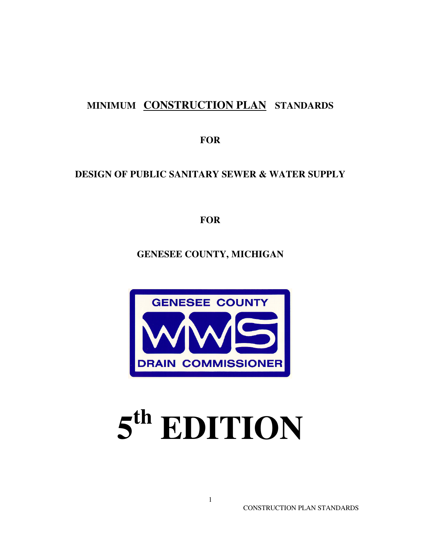## **MINIMUM CONSTRUCTION PLAN STANDARDS**

**FOR** 

## **DESIGN OF PUBLIC SANITARY SEWER & WATER SUPPLY**

**FOR** 

**GENESEE COUNTY, MICHIGAN**



# **5 th EDITION**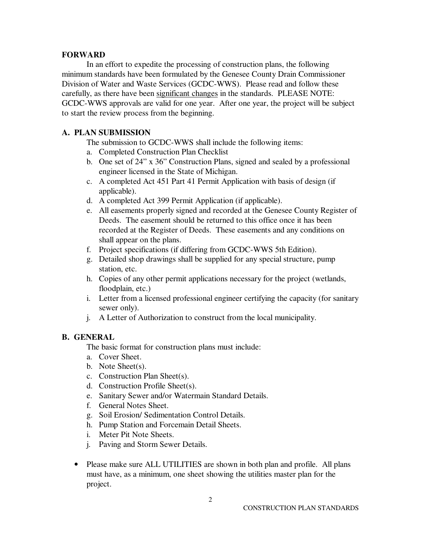#### **FORWARD**

 In an effort to expedite the processing of construction plans, the following minimum standards have been formulated by the Genesee County Drain Commissioner Division of Water and Waste Services (GCDC-WWS). Please read and follow these carefully, as there have been significant changes in the standards. PLEASE NOTE: GCDC-WWS approvals are valid for one year. After one year, the project will be subject to start the review process from the beginning.

#### **A. PLAN SUBMISSION**

The submission to GCDC-WWS shall include the following items:

- a. Completed Construction Plan Checklist
- b. One set of 24" x 36" Construction Plans, signed and sealed by a professional engineer licensed in the State of Michigan.
- c. A completed Act 451 Part 41 Permit Application with basis of design (if applicable).
- d. A completed Act 399 Permit Application (if applicable).
- e. All easements properly signed and recorded at the Genesee County Register of Deeds. The easement should be returned to this office once it has been recorded at the Register of Deeds. These easements and any conditions on shall appear on the plans.
- f. Project specifications (if differing from GCDC-WWS 5th Edition).
- g. Detailed shop drawings shall be supplied for any special structure, pump station, etc.
- h. Copies of any other permit applications necessary for the project (wetlands, floodplain, etc.)
- i. Letter from a licensed professional engineer certifying the capacity (for sanitary sewer only).
- j. A Letter of Authorization to construct from the local municipality.

#### **B. GENERAL**

The basic format for construction plans must include:

- a. Cover Sheet.
- b. Note Sheet(s).
- c. Construction Plan Sheet(s).
- d. Construction Profile Sheet(s).
- e. Sanitary Sewer and/or Watermain Standard Details.
- f. General Notes Sheet.
- g. Soil Erosion/ Sedimentation Control Details.
- h. Pump Station and Forcemain Detail Sheets.
- i. Meter Pit Note Sheets.
- j. Paving and Storm Sewer Details.
- Please make sure ALL UTILITIES are shown in both plan and profile. All plans must have, as a minimum, one sheet showing the utilities master plan for the project.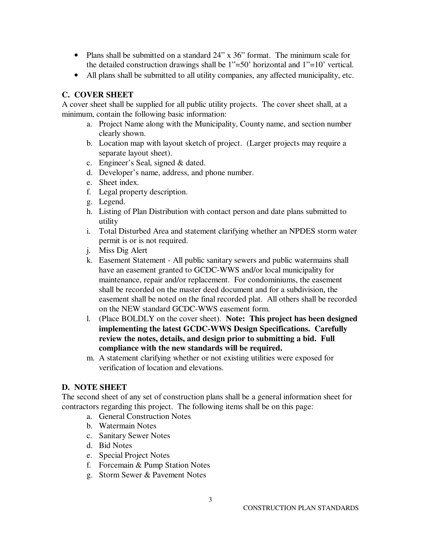- Plans shall be submitted on a standard 24" x 36" format. The minimum scale for the detailed construction drawings shall be 1"=50' horizontal and 1"=10' vertical.
- All plans shall be submitted to all utility companies, any affected municipality, etc.

## **C. COVER SHEET**

A cover sheet shall be supplied for all public utility projects. The cover sheet shall, at a minimum, contain the following basic information:

- a. Project Name along with the Municipality, County name, and section number clearly shown.
- b. Location map with layout sketch of project. (Larger projects may require a separate layout sheet).
- c. Engineer's Seal, signed & dated.
- d. Developer's name, address, and phone number.
- e. Sheet index.
- f. Legal property description.
- g. Legend.
- h. Listing of Plan Distribution with contact person and date plans submitted to utility
- i. Total Disturbed Area and statement clarifying whether an NPDES storm water permit is or is not required.
- j. Miss Dig Alert
- k. Easement Statement All public sanitary sewers and public watermains shall have an easement granted to GCDC-WWS and/or local municipality for maintenance, repair and/or replacement. For condominiums, the easement shall be recorded on the master deed document and for a subdivision, the easement shall be noted on the final recorded plat. All others shall be recorded on the NEW standard GCDC-WWS easement form.
- l. (Place BOLDLY on the cover sheet). **Note: This project has been designed implementing the latest GCDC-WWS Design Specifications. Carefully review the notes, details, and design prior to submitting a bid. Full compliance with the new standards will be required.**
- m. A statement clarifying whether or not existing utilities were exposed for verification of location and elevations.

## **D. NOTE SHEET**

The second sheet of any set of construction plans shall be a general information sheet for contractors regarding this project. The following items shall be on this page:

- a. General Construction Notes
- b. Watermain Notes
- c. Sanitary Sewer Notes
- d. Bid Notes
- e. Special Project Notes
- f. Forcemain & Pump Station Notes
- g. Storm Sewer & Pavement Notes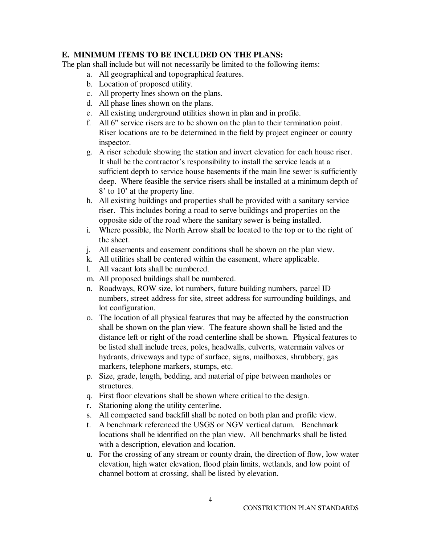## **E. MINIMUM ITEMS TO BE INCLUDED ON THE PLANS:**

The plan shall include but will not necessarily be limited to the following items:

- a. All geographical and topographical features.
- b. Location of proposed utility.
- c. All property lines shown on the plans.
- d. All phase lines shown on the plans.
- e. All existing underground utilities shown in plan and in profile.
- f. All 6" service risers are to be shown on the plan to their termination point. Riser locations are to be determined in the field by project engineer or county inspector.
- g. A riser schedule showing the station and invert elevation for each house riser. It shall be the contractor's responsibility to install the service leads at a sufficient depth to service house basements if the main line sewer is sufficiently deep. Where feasible the service risers shall be installed at a minimum depth of 8' to 10' at the property line.
- h. All existing buildings and properties shall be provided with a sanitary service riser. This includes boring a road to serve buildings and properties on the opposite side of the road where the sanitary sewer is being installed.
- i. Where possible, the North Arrow shall be located to the top or to the right of the sheet.
- j. All easements and easement conditions shall be shown on the plan view.
- k. All utilities shall be centered within the easement, where applicable.
- l. All vacant lots shall be numbered.
- m. All proposed buildings shall be numbered.
- n. Roadways, ROW size, lot numbers, future building numbers, parcel ID numbers, street address for site, street address for surrounding buildings, and lot configuration.
- o. The location of all physical features that may be affected by the construction shall be shown on the plan view. The feature shown shall be listed and the distance left or right of the road centerline shall be shown. Physical features to be listed shall include trees, poles, headwalls, culverts, watermain valves or hydrants, driveways and type of surface, signs, mailboxes, shrubbery, gas markers, telephone markers, stumps, etc.
- p. Size, grade, length, bedding, and material of pipe between manholes or structures.
- q. First floor elevations shall be shown where critical to the design.
- r. Stationing along the utility centerline.
- s. All compacted sand backfill shall be noted on both plan and profile view.
- t. A benchmark referenced the USGS or NGV vertical datum. Benchmark locations shall be identified on the plan view. All benchmarks shall be listed with a description, elevation and location.
- u. For the crossing of any stream or county drain, the direction of flow, low water elevation, high water elevation, flood plain limits, wetlands, and low point of channel bottom at crossing, shall be listed by elevation.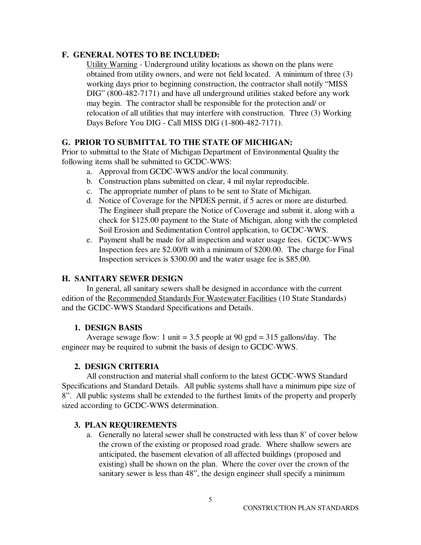## **F. GENERAL NOTES TO BE INCLUDED:**

Utility Warning - Underground utility locations as shown on the plans were obtained from utility owners, and were not field located. A minimum of three (3) working days prior to beginning construction, the contractor shall notify "MISS DIG" (800-482-7171) and have all underground utilities staked before any work may begin. The contractor shall be responsible for the protection and/ or relocation of all utilities that may interfere with construction. Three (3) Working Days Before You DIG - Call MISS DIG (1-800-482-7171).

## **G. PRIOR TO SUBMITTAL TO THE STATE OF MICHIGAN:**

Prior to submittal to the State of Michigan Department of Environmental Quality the following items shall be submitted to GCDC-WWS:

- a. Approval from GCDC-WWS and/or the local community.
- b. Construction plans submitted on clear, 4 mil mylar reproducible.
- c. The appropriate number of plans to be sent to State of Michigan.
- d. Notice of Coverage for the NPDES permit, if 5 acres or more are disturbed. The Engineer shall prepare the Notice of Coverage and submit it, along with a check for \$125.00 payment to the State of Michigan, along with the completed Soil Erosion and Sedimentation Control application, to GCDC-WWS.
- e. Payment shall be made for all inspection and water usage fees. GCDC-WWS Inspection fees are \$2.00/ft with a minimum of \$200.00. The charge for Final Inspection services is \$300.00 and the water usage fee is \$85.00.

## **H. SANITARY SEWER DESIGN**

In general, all sanitary sewers shall be designed in accordance with the current edition of the Recommended Standards For Wastewater Facilities (10 State Standards) and the GCDC-WWS Standard Specifications and Details.

## **1. DESIGN BASIS**

Average sewage flow: 1 unit  $= 3.5$  people at 90 gpd  $= 315$  gallons/day. The engineer may be required to submit the basis of design to GCDC-WWS.

## **2. DESIGN CRITERIA**

 All construction and material shall conform to the latest GCDC-WWS Standard Specifications and Standard Details. All public systems shall have a minimum pipe size of 8". All public systems shall be extended to the furthest limits of the property and properly sized according to GCDC-WWS determination.

#### **3. PLAN REQUIREMENTS**

a. Generally no lateral sewer shall be constructed with less than 8' of cover below the crown of the existing or proposed road grade. Where shallow sewers are anticipated, the basement elevation of all affected buildings (proposed and existing) shall be shown on the plan. Where the cover over the crown of the sanitary sewer is less than 48", the design engineer shall specify a minimum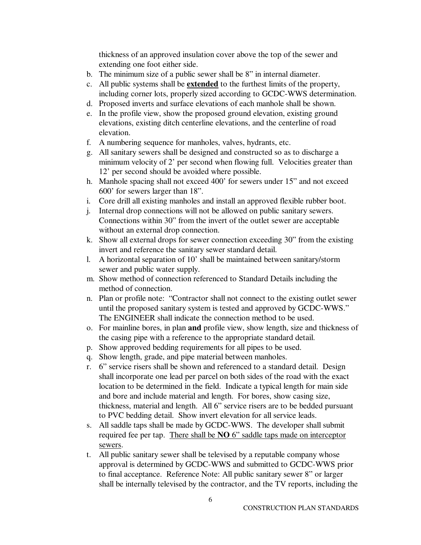thickness of an approved insulation cover above the top of the sewer and extending one foot either side.

- b. The minimum size of a public sewer shall be 8" in internal diameter.
- c. All public systems shall be **extended** to the furthest limits of the property, including corner lots, properly sized according to GCDC-WWS determination.
- d. Proposed inverts and surface elevations of each manhole shall be shown.
- e. In the profile view, show the proposed ground elevation, existing ground elevations, existing ditch centerline elevations, and the centerline of road elevation.
- f. A numbering sequence for manholes, valves, hydrants, etc.
- g. All sanitary sewers shall be designed and constructed so as to discharge a minimum velocity of 2' per second when flowing full. Velocities greater than 12' per second should be avoided where possible.
- h. Manhole spacing shall not exceed 400' for sewers under 15" and not exceed 600' for sewers larger than 18".
- i. Core drill all existing manholes and install an approved flexible rubber boot.
- j. Internal drop connections will not be allowed on public sanitary sewers. Connections within 30" from the invert of the outlet sewer are acceptable without an external drop connection.
- k. Show all external drops for sewer connection exceeding 30" from the existing invert and reference the sanitary sewer standard detail.
- l. A horizontal separation of 10' shall be maintained between sanitary/storm sewer and public water supply.
- m. Show method of connection referenced to Standard Details including the method of connection.
- n. Plan or profile note: "Contractor shall not connect to the existing outlet sewer until the proposed sanitary system is tested and approved by GCDC-WWS." The ENGINEER shall indicate the connection method to be used.
- o. For mainline bores, in plan **and** profile view, show length, size and thickness of the casing pipe with a reference to the appropriate standard detail.
- p. Show approved bedding requirements for all pipes to be used.
- q. Show length, grade, and pipe material between manholes.
- r. 6" service risers shall be shown and referenced to a standard detail. Design shall incorporate one lead per parcel on both sides of the road with the exact location to be determined in the field. Indicate a typical length for main side and bore and include material and length. For bores, show casing size, thickness, material and length. All 6" service risers are to be bedded pursuant to PVC bedding detail. Show invert elevation for all service leads.
- s. All saddle taps shall be made by GCDC-WWS. The developer shall submit required fee per tap. There shall be **NO** 6" saddle taps made on interceptor sewers.
- t. All public sanitary sewer shall be televised by a reputable company whose approval is determined by GCDC-WWS and submitted to GCDC-WWS prior to final acceptance. Reference Note: All public sanitary sewer 8" or larger shall be internally televised by the contractor, and the TV reports, including the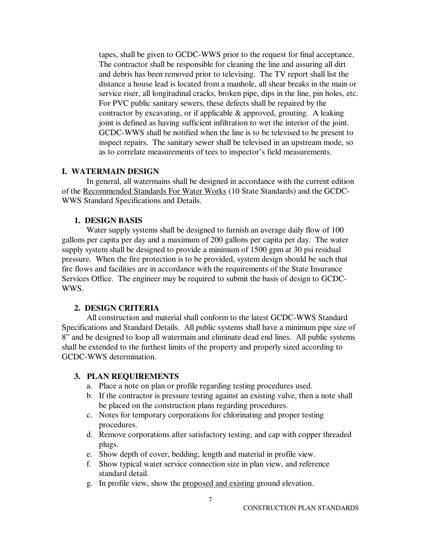tapes, shall be given to GCDC-WWS prior to the request for final acceptance. The contractor shall be responsible for cleaning the line and assuring all dirt and debris has been removed prior to televising. The TV report shall list the distance a house lead is located from a manhole, all shear breaks in the main or service riser, all longitudinal cracks, broken pipe, dips in the line, pin holes, etc. For PVC public sanitary sewers, these defects shall be repaired by the contractor by excavating, or if applicable  $\&$  approved, grouting. A leaking joint is defined as having sufficient infiltration to wet the interior of the joint. GCDC-WWS shall be notified when the line is to be televised to be present to inspect repairs. The sanitary sewer shall be televised in an upstream mode, so as to correlate measurements of tees to inspector's field measurements.

#### **I. WATERMAIN DESIGN**

 In general, all watermains shall be designed in accordance with the current edition of the Recommended Standards For Water Works (10 State Standards) and the GCDC-WWS Standard Specifications and Details.

#### **1. DESIGN BASIS**

 Water supply systems shall be designed to furnish an average daily flow of 100 gallons per capita per day and a maximum of 200 gallons per capita per day. The water supply system shall be designed to provide a minimum of 1500 gpm at 30 psi residual pressure. When the fire protection is to be provided, system design should be such that fire flows and facilities are in accordance with the requirements of the State Insurance Services Office. The engineer may be required to submit the basis of design to GCDC-WWS.

#### **2. DESIGN CRITERIA**

 All construction and material shall conform to the latest GCDC-WWS Standard Specifications and Standard Details. All public systems shall have a minimum pipe size of 8" and be designed to loop all watermain and eliminate dead end lines. All public systems shall be extended to the furthest limits of the property and properly sized according to GCDC-WWS determination.

#### **3. PLAN REQUIREMENTS**

- a. Place a note on plan or profile regarding testing procedures used.
- b. If the contractor is pressure testing against an existing valve, then a note shall be placed on the construction plans regarding procedures.
- c. Notes for temporary corporations for chlorinating and proper testing procedures.
- d. Remove corporations after satisfactory testing, and cap with copper threaded plugs.
- e. Show depth of cover, bedding, length and material in profile view.
- f. Show typical water service connection size in plan view, and reference standard detail.
- g. In profile view, show the proposed and existing ground elevation.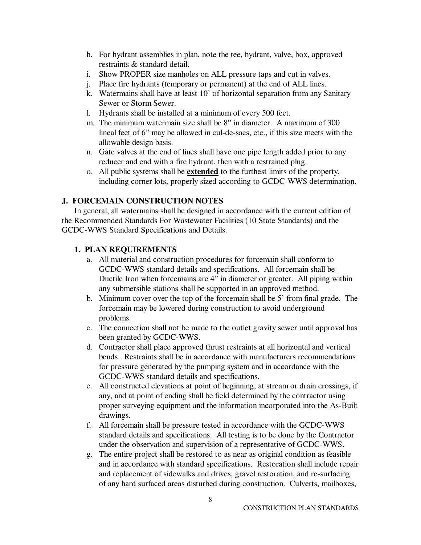- h. For hydrant assemblies in plan, note the tee, hydrant, valve, box, approved restraints & standard detail.
- i. Show PROPER size manholes on ALL pressure taps and cut in valves.
- j. Place fire hydrants (temporary or permanent) at the end of ALL lines.
- k. Watermains shall have at least 10' of horizontal separation from any Sanitary Sewer or Storm Sewer.
- l. Hydrants shall be installed at a minimum of every 500 feet.
- m. The minimum watermain size shall be 8" in diameter. A maximum of 300 lineal feet of 6" may be allowed in cul-de-sacs, etc., if this size meets with the allowable design basis.
- n. Gate valves at the end of lines shall have one pipe length added prior to any reducer and end with a fire hydrant, then with a restrained plug.
- o. All public systems shall be **extended** to the furthest limits of the property, including corner lots, properly sized according to GCDC-WWS determination.

## **J. FORCEMAIN CONSTRUCTION NOTES**

In general, all watermains shall be designed in accordance with the current edition of the Recommended Standards For Wastewater Facilities (10 State Standards) and the GCDC-WWS Standard Specifications and Details.

## **1. PLAN REQUIREMENTS**

- a. All material and construction procedures for forcemain shall conform to GCDC-WWS standard details and specifications. All forcemain shall be Ductile Iron when forcemains are 4" in diameter or greater. All piping within any submersible stations shall be supported in an approved method.
- b. Minimum cover over the top of the forcemain shall be 5' from final grade. The forcemain may be lowered during construction to avoid underground problems.
- c. The connection shall not be made to the outlet gravity sewer until approval has been granted by GCDC-WWS.
- d. Contractor shall place approved thrust restraints at all horizontal and vertical bends. Restraints shall be in accordance with manufacturers recommendations for pressure generated by the pumping system and in accordance with the GCDC-WWS standard details and specifications.
- e. All constructed elevations at point of beginning, at stream or drain crossings, if any, and at point of ending shall be field determined by the contractor using proper surveying equipment and the information incorporated into the As-Built drawings.
- f. All forcemain shall be pressure tested in accordance with the GCDC-WWS standard details and specifications. All testing is to be done by the Contractor under the observation and supervision of a representative of GCDC-WWS.
- g. The entire project shall be restored to as near as original condition as feasible and in accordance with standard specifications. Restoration shall include repair and replacement of sidewalks and drives, gravel restoration, and re-surfacing of any hard surfaced areas disturbed during construction. Culverts, mailboxes,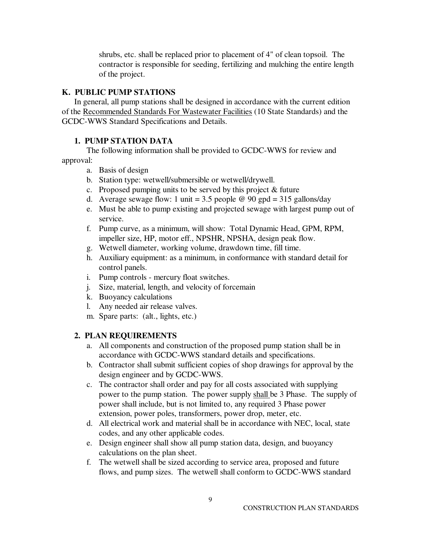shrubs, etc. shall be replaced prior to placement of 4" of clean topsoil. The contractor is responsible for seeding, fertilizing and mulching the entire length of the project.

#### **K. PUBLIC PUMP STATIONS**

In general, all pump stations shall be designed in accordance with the current edition of the Recommended Standards For Wastewater Facilities (10 State Standards) and the GCDC-WWS Standard Specifications and Details.

#### **1. PUMP STATION DATA**

The following information shall be provided to GCDC-WWS for review and approval:

- a. Basis of design
- b. Station type: wetwell/submersible or wetwell/drywell.
- c. Proposed pumping units to be served by this project & future
- d. Average sewage flow: 1 unit = 3.5 people  $\omega$  90 gpd = 315 gallons/day
- e. Must be able to pump existing and projected sewage with largest pump out of service.
- f. Pump curve, as a minimum, will show: Total Dynamic Head, GPM, RPM, impeller size, HP, motor eff., NPSHR, NPSHA, design peak flow.
- g. Wetwell diameter, working volume, drawdown time, fill time.
- h. Auxiliary equipment: as a minimum, in conformance with standard detail for control panels.
- i. Pump controls mercury float switches.
- j. Size, material, length, and velocity of forcemain
- k. Buoyancy calculations
- l. Any needed air release valves.
- m. Spare parts: (alt., lights, etc.)

## **2. PLAN REQUIREMENTS**

- a. All components and construction of the proposed pump station shall be in accordance with GCDC-WWS standard details and specifications.
- b. Contractor shall submit sufficient copies of shop drawings for approval by the design engineer and by GCDC-WWS.
- c. The contractor shall order and pay for all costs associated with supplying power to the pump station. The power supply shall be 3 Phase. The supply of power shall include, but is not limited to, any required 3 Phase power extension, power poles, transformers, power drop, meter, etc.
- d. All electrical work and material shall be in accordance with NEC, local, state codes, and any other applicable codes.
- e. Design engineer shall show all pump station data, design, and buoyancy calculations on the plan sheet.
- f. The wetwell shall be sized according to service area, proposed and future flows, and pump sizes. The wetwell shall conform to GCDC-WWS standard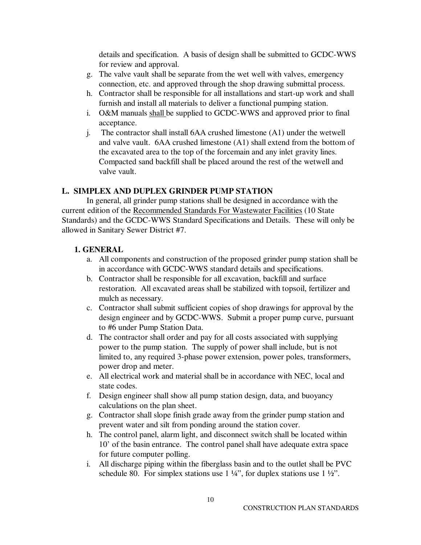details and specification. A basis of design shall be submitted to GCDC-WWS for review and approval.

- g. The valve vault shall be separate from the wet well with valves, emergency connection, etc. and approved through the shop drawing submittal process.
- h. Contractor shall be responsible for all installations and start-up work and shall furnish and install all materials to deliver a functional pumping station.
- i. O&M manuals shall be supplied to GCDC-WWS and approved prior to final acceptance.
- j. The contractor shall install 6AA crushed limestone (A1) under the wetwell and valve vault. 6AA crushed limestone (A1) shall extend from the bottom of the excavated area to the top of the forcemain and any inlet gravity lines. Compacted sand backfill shall be placed around the rest of the wetwell and valve vault.

## **L. SIMPLEX AND DUPLEX GRINDER PUMP STATION**

In general, all grinder pump stations shall be designed in accordance with the current edition of the Recommended Standards For Wastewater Facilities (10 State Standards) and the GCDC-WWS Standard Specifications and Details. These will only be allowed in Sanitary Sewer District #7.

## **1. GENERAL**

- a. All components and construction of the proposed grinder pump station shall be in accordance with GCDC-WWS standard details and specifications.
- b. Contractor shall be responsible for all excavation, backfill and surface restoration. All excavated areas shall be stabilized with topsoil, fertilizer and mulch as necessary.
- c. Contractor shall submit sufficient copies of shop drawings for approval by the design engineer and by GCDC-WWS. Submit a proper pump curve, pursuant to #6 under Pump Station Data.
- d. The contractor shall order and pay for all costs associated with supplying power to the pump station. The supply of power shall include, but is not limited to, any required 3-phase power extension, power poles, transformers, power drop and meter.
- e. All electrical work and material shall be in accordance with NEC, local and state codes.
- f. Design engineer shall show all pump station design, data, and buoyancy calculations on the plan sheet.
- g. Contractor shall slope finish grade away from the grinder pump station and prevent water and silt from ponding around the station cover.
- h. The control panel, alarm light, and disconnect switch shall be located within 10' of the basin entrance. The control panel shall have adequate extra space for future computer polling.
- i. All discharge piping within the fiberglass basin and to the outlet shall be PVC schedule 80. For simplex stations use  $1\frac{1}{4}$ , for duplex stations use  $1\frac{1}{2}$ .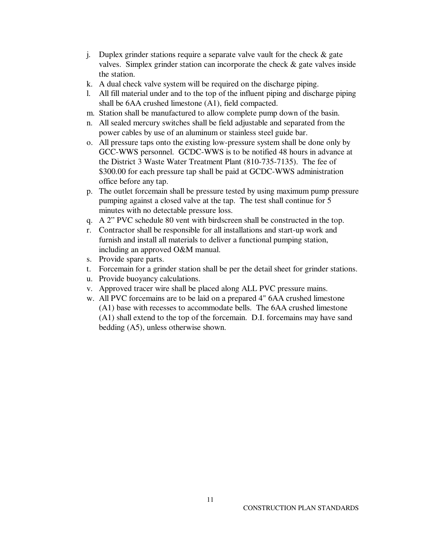- j. Duplex grinder stations require a separate valve vault for the check  $\&$  gate valves. Simplex grinder station can incorporate the check & gate valves inside the station.
- k. A dual check valve system will be required on the discharge piping.
- l. All fill material under and to the top of the influent piping and discharge piping shall be 6AA crushed limestone (A1), field compacted.
- m. Station shall be manufactured to allow complete pump down of the basin.
- n. All sealed mercury switches shall be field adjustable and separated from the power cables by use of an aluminum or stainless steel guide bar.
- o. All pressure taps onto the existing low-pressure system shall be done only by GCC-WWS personnel. GCDC-WWS is to be notified 48 hours in advance at the District 3 Waste Water Treatment Plant (810-735-7135). The fee of \$300.00 for each pressure tap shall be paid at GCDC-WWS administration office before any tap.
- p. The outlet forcemain shall be pressure tested by using maximum pump pressure pumping against a closed valve at the tap. The test shall continue for 5 minutes with no detectable pressure loss.
- q. A 2" PVC schedule 80 vent with birdscreen shall be constructed in the top.
- r. Contractor shall be responsible for all installations and start-up work and furnish and install all materials to deliver a functional pumping station, including an approved O&M manual.
- s. Provide spare parts.
- t. Forcemain for a grinder station shall be per the detail sheet for grinder stations.
- u. Provide buoyancy calculations.
- v. Approved tracer wire shall be placed along ALL PVC pressure mains.
- w. All PVC forcemains are to be laid on a prepared 4" 6AA crushed limestone (A1) base with recesses to accommodate bells. The 6AA crushed limestone (A1) shall extend to the top of the forcemain. D.I. forcemains may have sand bedding (A5), unless otherwise shown.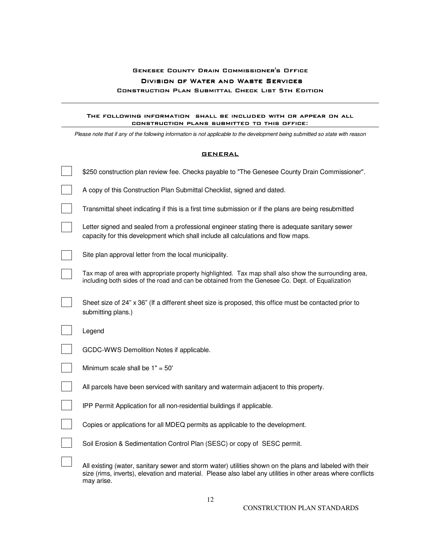## Genesee County Drain Commissioner's Office DIVISION OF WATER AND WASTE SERVICES CONSTRUCTION PLAN SUBMITTAL CHECK LIST 5TH EDITION

#### The following information shall be included with or appear on all construction plans submitted to this office: plans to this

Please note that if any of the following information is not applicable to the development being submitted so state with reason

#### **GENERAL**

| \$250 construction plan review fee. Checks payable to "The Genesee County Drain Commissioner".                                                                                                                                         |
|----------------------------------------------------------------------------------------------------------------------------------------------------------------------------------------------------------------------------------------|
| A copy of this Construction Plan Submittal Checklist, signed and dated.                                                                                                                                                                |
| Transmittal sheet indicating if this is a first time submission or if the plans are being resubmitted                                                                                                                                  |
| Letter signed and sealed from a professional engineer stating there is adequate sanitary sewer<br>capacity for this development which shall include all calculations and flow maps.                                                    |
| Site plan approval letter from the local municipality.                                                                                                                                                                                 |
| Tax map of area with appropriate property highlighted. Tax map shall also show the surrounding area,<br>including both sides of the road and can be obtained from the Genesee Co. Dept. of Equalization                                |
| Sheet size of 24" x 36" (If a different sheet size is proposed, this office must be contacted prior to<br>submitting plans.)                                                                                                           |
| Legend                                                                                                                                                                                                                                 |
| GCDC-WWS Demolition Notes if applicable.                                                                                                                                                                                               |
| Minimum scale shall be $1" = 50'$                                                                                                                                                                                                      |
| All parcels have been serviced with sanitary and watermain adjacent to this property.                                                                                                                                                  |
| IPP Permit Application for all non-residential buildings if applicable.                                                                                                                                                                |
| Copies or applications for all MDEQ permits as applicable to the development.                                                                                                                                                          |
| Soil Erosion & Sedimentation Control Plan (SESC) or copy of SESC permit.                                                                                                                                                               |
| All existing (water, sanitary sewer and storm water) utilities shown on the plans and labeled with their<br>size (rims, inverts), elevation and material. Please also label any utilities in other areas where conflicts<br>may arise. |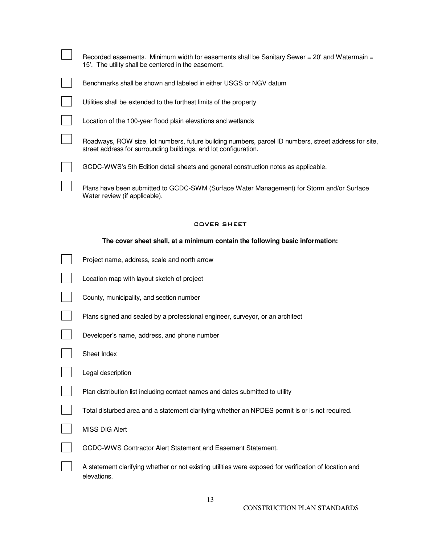| The cover sheet shall, at a minimum contain the following basic information:                                                                                              |
|---------------------------------------------------------------------------------------------------------------------------------------------------------------------------|
| <b>COVER SHEET</b>                                                                                                                                                        |
| Plans have been submitted to GCDC-SWM (Surface Water Management) for Storm and/or Surface<br>Water review (if applicable).                                                |
| GCDC-WWS's 5th Edition detail sheets and general construction notes as applicable.                                                                                        |
| Roadways, ROW size, lot numbers, future building numbers, parcel ID numbers, street address for site,<br>street address for surrounding buildings, and lot configuration. |
| Location of the 100-year flood plain elevations and wetlands                                                                                                              |
| Utilities shall be extended to the furthest limits of the property                                                                                                        |
| Benchmarks shall be shown and labeled in either USGS or NGV datum                                                                                                         |
| Recorded easements. Minimum width for easements shall be Sanitary Sewer = 20' and Watermain =<br>15'. The utility shall be centered in the easement.                      |

| Project name, address, scale and north arrow                                                                          |
|-----------------------------------------------------------------------------------------------------------------------|
| Location map with layout sketch of project                                                                            |
| County, municipality, and section number                                                                              |
| Plans signed and sealed by a professional engineer, surveyor, or an architect                                         |
| Developer's name, address, and phone number                                                                           |
| Sheet Index                                                                                                           |
| Legal description                                                                                                     |
| Plan distribution list including contact names and dates submitted to utility                                         |
| Total disturbed area and a statement clarifying whether an NPDES permit is or is not required.                        |
| <b>MISS DIG Alert</b>                                                                                                 |
| GCDC-WWS Contractor Alert Statement and Easement Statement.                                                           |
| A statement clarifying whether or not existing utilities were exposed for verification of location and<br>elevations. |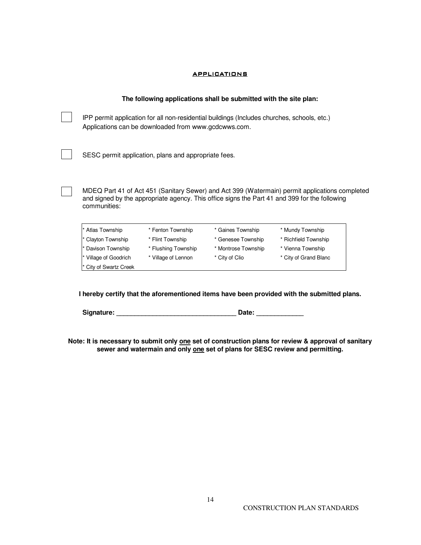#### **APPLICATIONS**

#### **The following applications shall be submitted with the site plan:**

 IPP permit application for all non-residential buildings (Includes churches, schools, etc.) Applications can be downloaded from www.gcdcwws.com.

SESC permit application, plans and appropriate fees.

 MDEQ Part 41 of Act 451 (Sanitary Sewer) and Act 399 (Watermain) permit applications completed and signed by the appropriate agency. This office signs the Part 41 and 399 for the following communities:

| * Atlas Township     | * Fenton Township   | * Gaines Township   | * Mundy Township      |
|----------------------|---------------------|---------------------|-----------------------|
| * Clayton Township   | * Flint Township    | * Genesee Township  | * Richfield Township  |
| * Davison Township   | * Flushing Township | * Montrose Township | * Vienna Township     |
| Village of Goodrich  | * Village of Lennon | * City of Clio      | * City of Grand Blanc |
| City of Swartz Creek |                     |                     |                       |

**I hereby certify that the aforementioned items have been provided with the submitted plans.** 

 **Signature: \_\_\_\_\_\_\_\_\_\_\_\_\_\_\_\_\_\_\_\_\_\_\_\_\_\_\_\_\_\_\_\_\_ Date: \_\_\_\_\_\_\_\_\_\_\_\_\_** 

**Note: It is necessary to submit only one set of construction plans for review & approval of sanitary sewer and watermain and only one set of plans for SESC review and permitting.**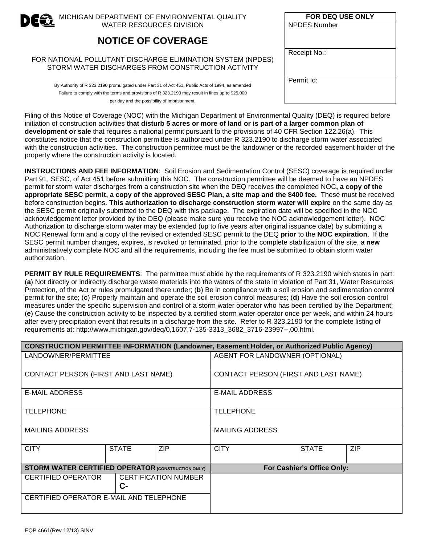

MICHIGAN DEPARTMENT OF ENVIRONMENTAL QUALITY WATER RESOURCES DIVISION

## **NOTICE OF COVERAGE**

#### FOR NATIONAL POLLUTANT DISCHARGE ELIMINATION SYSTEM (NPDES) STORM WATER DISCHARGES FROM CONSTRUCTION ACTIVITY

By Authority of R 323.2190 promulgated under Part 31 of Act 451, Public Acts of 1994, as amended Failure to comply with the terms and provisions of R 323.2190 may result in fines up to \$25,000 per day and the possibility of imprisonment.

| FOR DEQ USE ONLY    |
|---------------------|
| <b>NPDES Number</b> |
| Receipt No.:        |
| Permit Id:          |

Filing of this Notice of Coverage (NOC) with the Michigan Department of Environmental Quality (DEQ) is required before initiation of construction activities **that disturb 5 acres or more of land or is part of a larger common plan of development or sale** that requires a national permit pursuant to the provisions of 40 CFR Section 122.26(a). This constitutes notice that the construction permittee is authorized under R 323.2190 to discharge storm water associated with the construction activities. The construction permittee must be the landowner or the recorded easement holder of the property where the construction activity is located.

**INSTRUCTIONS AND FEE INFORMATION**: Soil Erosion and Sedimentation Control (SESC) coverage is required under Part 91, SESC, of Act 451 before submitting this NOC. The construction permittee will be deemed to have an NPDES permit for storm water discharges from a construction site when the DEQ receives the completed NOC**, a copy of the appropriate SESC permit, a copy of the approved SESC Plan, a site map and the \$400 fee.** These must be received before construction begins. **This authorization to discharge construction storm water will expire** on the same day as the SESC permit originally submitted to the DEQ with this package. The expiration date will be specified in the NOC acknowledgement letter provided by the DEQ (please make sure you receive the NOC acknowledgement letter). NOC Authorization to discharge storm water may be extended (up to five years after original issuance date) by submitting a NOC Renewal form and a copy of the revised or extended SESC permit to the DEQ **prior** to the **NOC expiration**. If the SESC permit number changes, expires, is revoked or terminated, prior to the complete stabilization of the site, a **new**  administratively complete NOC and all the requirements, including the fee must be submitted to obtain storm water authorization.

**PERMIT BY RULE REQUIREMENTS**:The permittee must abide by the requirements of R 323.2190 which states in part: (**a**) Not directly or indirectly discharge waste materials into the waters of the state in violation of Part 31, Water Resources Protection, of the Act or rules promulgated there under; (**b**) Be in compliance with a soil erosion and sedimentation control permit for the site; (**c**) Properly maintain and operate the soil erosion control measures; (**d**) Have the soil erosion control measures under the specific supervision and control of a storm water operator who has been certified by the Department; (**e**) Cause the construction activity to be inspected by a certified storm water operator once per week, and within 24 hours after every precipitation event that results in a discharge from the site. Refer to R 323.2190 for the complete listing of requirements at: http://www.michigan.gov/deq/0,1607,7-135-3313\_3682\_3716-23997--,00.html.

| <b>CONSTRUCTION PERMITTEE INFORMATION (Landowner, Easement Holder, or Authorized Public Agency)</b> |              |                             |                                      |                            |            |
|-----------------------------------------------------------------------------------------------------|--------------|-----------------------------|--------------------------------------|----------------------------|------------|
| LANDOWNER/PERMITTEE                                                                                 |              |                             | AGENT FOR LANDOWNER (OPTIONAL)       |                            |            |
| CONTACT PERSON (FIRST AND LAST NAME)                                                                |              |                             | CONTACT PERSON (FIRST AND LAST NAME) |                            |            |
| <b>E-MAIL ADDRESS</b>                                                                               |              |                             | <b>E-MAIL ADDRESS</b>                |                            |            |
| <b>TELEPHONE</b>                                                                                    |              |                             | <b>TELEPHONE</b>                     |                            |            |
| <b>MAILING ADDRESS</b>                                                                              |              | <b>MAILING ADDRESS</b>      |                                      |                            |            |
| <b>CITY</b>                                                                                         | <b>STATE</b> | <b>ZIP</b>                  | <b>CITY</b>                          | <b>STATE</b>               | <b>ZIP</b> |
| <b>STORM WATER CERTIFIED OPERATOR (CONSTRUCTION ONLY)</b>                                           |              |                             |                                      | For Cashier's Office Only: |            |
| <b>CERTIFIED OPERATOR</b>                                                                           | $C-$         | <b>CERTIFICATION NUMBER</b> |                                      |                            |            |
| CERTIFIED OPERATOR E-MAIL AND TELEPHONE                                                             |              |                             |                                      |                            |            |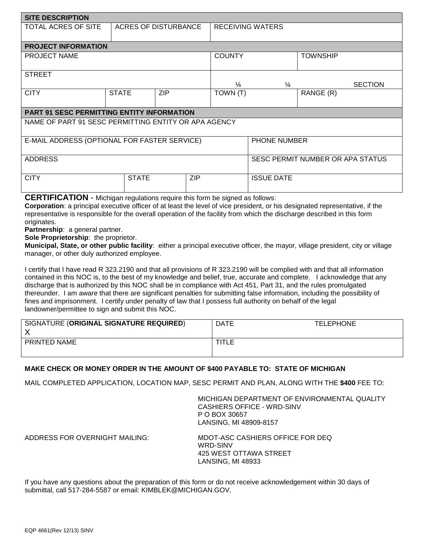| <b>SITE DESCRIPTION</b>                              |                      |            |               |                                  |                   |           |                |
|------------------------------------------------------|----------------------|------------|---------------|----------------------------------|-------------------|-----------|----------------|
| TOTAL ACRES OF SITE                                  | ACRES OF DISTURBANCE |            |               | <b>RECEIVING WATERS</b>          |                   |           |                |
| <b>PROJECT INFORMATION</b>                           |                      |            |               |                                  |                   |           |                |
| <b>PROJECT NAME</b>                                  |                      |            | <b>COUNTY</b> |                                  | <b>TOWNSHIP</b>   |           |                |
| <b>STREET</b>                                        |                      |            |               | $\frac{1}{4}$                    | $\frac{1}{4}$     |           | <b>SECTION</b> |
| <b>CITY</b>                                          | <b>STATE</b>         | <b>ZIP</b> |               | TOWN (T)                         |                   | RANGE (R) |                |
| <b>PART 91 SESC PERMITTING ENTITY INFORMATION</b>    |                      |            |               |                                  |                   |           |                |
| NAME OF PART 91 SESC PERMITTING ENTITY OR APA AGENCY |                      |            |               |                                  |                   |           |                |
| E-MAIL ADDRESS (OPTIONAL FOR FASTER SERVICE)         |                      |            |               | <b>PHONE NUMBER</b>              |                   |           |                |
| <b>ADDRESS</b>                                       |                      |            |               | SESC PERMIT NUMBER OR APA STATUS |                   |           |                |
| <b>CITY</b>                                          | <b>STATE</b>         |            | <b>ZIP</b>    |                                  | <b>ISSUE DATE</b> |           |                |

**CERTIFICATION** - Michigan regulations require this form be signed as follows:

**Corporation**: a principal executive officer of at least the level of vice president, or his designated representative, if the representative is responsible for the overall operation of the facility from which the discharge described in this form originates.

**Partnership**: a general partner.

**Sole Proprietorship**: the proprietor.

**Municipal, State, or other public facility**: either a principal executive officer, the mayor, village president, city or village manager, or other duly authorized employee.

I certify that I have read R 323.2190 and that all provisions of R 323.2190 will be complied with and that all information contained in this NOC is, to the best of my knowledge and belief, true, accurate and complete. I acknowledge that any discharge that is authorized by this NOC shall be in compliance with Act 451, Part 31, and the rules promulgated thereunder. I am aware that there are significant penalties for submitting false information, including the possibility of fines and imprisonment. I certify under penalty of law that I possess full authority on behalf of the legal landowner/permittee to sign and submit this NOC.

| SIGNATURE (ORIGINAL SIGNATURE REQUIRED)<br>Χ | <b>DATE</b> | <b>TELEPHONE</b> |
|----------------------------------------------|-------------|------------------|
| PRINTED NAME                                 | TITLE       |                  |

#### **MAKE CHECK OR MONEY ORDER IN THE AMOUNT OF \$400 PAYABLE TO: STATE OF MICHIGAN**

MAIL COMPLETED APPLICATION, LOCATION MAP, SESC PERMIT AND PLAN, ALONG WITH THE **\$400** FEE TO:

MICHIGAN DEPARTMENT OF ENVIRONMENTAL QUALITY CASHIERS OFFICE - WRD-SINV P O BOX 30657 LANSING, MI 48909-8157

ADDRESS FOR OVERNIGHT MAILING: MDOT-ASC CASHIERS OFFICE FOR DEQ WRD-SINV 425 WEST OTTAWA STREET LANSING, MI 48933

If you have any questions about the preparation of this form or do not receive acknowledgement within 30 days of submittal, call 517-284-5587 or email: KIMBLEK@MICHIGAN.GOV.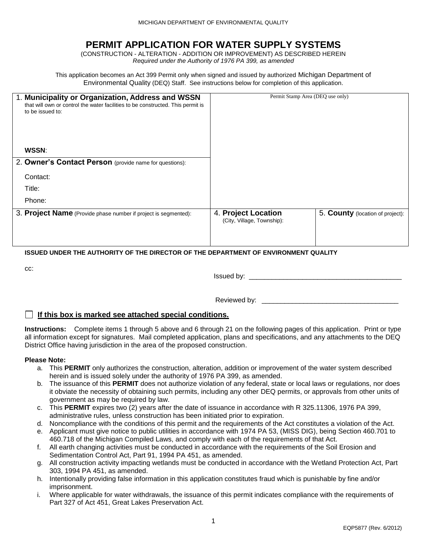## **PERMIT APPLICATION FOR WATER SUPPLY SYSTEMS**

(CONSTRUCTION - ALTERATION - ADDITION OR IMPROVEMENT) AS DESCRIBED HEREIN *Required under the Authority of 1976 PA 399, as amended*

This application becomes an Act 399 Permit only when signed and issued by authorized Michigan Department of Environmental Quality (DEQ) Staff. See instructions below for completion of this application.

| 1. Municipality or Organization, Address and WSSN<br>that will own or control the water facilities to be constructed. This permit is<br>to be issued to: | Permit Stamp Area (DEQ use only)                  |                                  |
|----------------------------------------------------------------------------------------------------------------------------------------------------------|---------------------------------------------------|----------------------------------|
| WSSN:                                                                                                                                                    |                                                   |                                  |
| 2. Owner's Contact Person (provide name for questions):                                                                                                  |                                                   |                                  |
| Contact:                                                                                                                                                 |                                                   |                                  |
| Title:                                                                                                                                                   |                                                   |                                  |
| Phone:                                                                                                                                                   |                                                   |                                  |
| 3. Project Name (Provide phase number if project is segmented):                                                                                          | 4. Project Location<br>(City, Village, Township): | 5. County (location of project): |

#### **ISSUED UNDER THE AUTHORITY OF THE DIRECTOR OF THE DEPARTMENT OF ENVIRONMENT QUALITY**

cc:

Issued by: \_\_\_\_\_\_\_\_\_\_\_\_\_\_\_\_\_\_\_\_\_\_\_\_\_\_\_\_\_\_\_\_\_\_\_\_\_\_\_\_

Reviewed by:  $\blacksquare$ 

#### **If this box is marked see attached special conditions.**

**Instructions:** Complete items 1 through 5 above and 6 through 21 on the following pages of this application. Print or type all information except for signatures. Mail completed application, plans and specifications, and any attachments to the DEQ District Office having jurisdiction in the area of the proposed construction.

#### **Please Note:**

- a. This **PERMIT** only authorizes the construction, alteration, addition or improvement of the water system described herein and is issued solely under the authority of 1976 PA 399, as amended.
- b. The issuance of this **PERMIT** does not authorize violation of any federal, state or local laws or regulations, nor does it obviate the necessity of obtaining such permits, including any other DEQ permits, or approvals from other units of government as may be required by law.
- c. This **PERMIT** expires two (2) years after the date of issuance in accordance with R 325.11306, 1976 PA 399, administrative rules, unless construction has been initiated prior to expiration.
- d. Noncompliance with the conditions of this permit and the requirements of the Act constitutes a violation of the Act.
- e. Applicant must give notice to public utilities in accordance with 1974 PA 53, (MISS DIG), being Section 460.701 to 460.718 of the Michigan Compiled Laws, and comply with each of the requirements of that Act.
- f. All earth changing activities must be conducted in accordance with the requirements of the Soil Erosion and Sedimentation Control Act, Part 91, 1994 PA 451, as amended.
- g. All construction activity impacting wetlands must be conducted in accordance with the Wetland Protection Act, Part 303, 1994 PA 451, as amended.
- h. Intentionally providing false information in this application constitutes fraud which is punishable by fine and/or imprisonment.
- i. Where applicable for water withdrawals, the issuance of this permit indicates compliance with the requirements of Part 327 of Act 451, Great Lakes Preservation Act.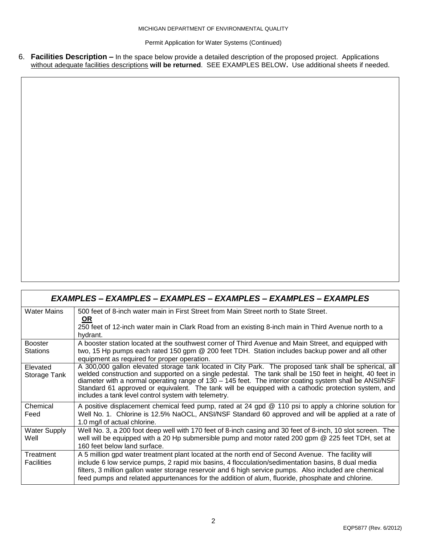Permit Application for Water Systems (Continued)

6. **Facilities Description –** In the space below provide a detailed description of the proposed project. Applications without adequate facilities descriptions **will be returned**. SEE EXAMPLES BELOW**.** Use additional sheets if needed.

|                                   | EXAMPLES – EXAMPLES – EXAMPLES – EXAMPLES – EXAMPLES – EXAMPLES                                                                                                                                                                                                                                                                                                                                                                                                                                 |
|-----------------------------------|-------------------------------------------------------------------------------------------------------------------------------------------------------------------------------------------------------------------------------------------------------------------------------------------------------------------------------------------------------------------------------------------------------------------------------------------------------------------------------------------------|
| <b>Water Mains</b>                | 500 feet of 8-inch water main in First Street from Main Street north to State Street.<br><b>OR</b><br>250 feet of 12-inch water main in Clark Road from an existing 8-inch main in Third Avenue north to a<br>hydrant.                                                                                                                                                                                                                                                                          |
| <b>Booster</b><br><b>Stations</b> | A booster station located at the southwest corner of Third Avenue and Main Street, and equipped with<br>two, 15 Hp pumps each rated 150 gpm @ 200 feet TDH. Station includes backup power and all other<br>equipment as required for proper operation.                                                                                                                                                                                                                                          |
| Elevated<br>Storage Tank          | A 300,000 gallon elevated storage tank located in City Park. The proposed tank shall be spherical, all<br>welded construction and supported on a single pedestal. The tank shall be 150 feet in height, 40 feet in<br>diameter with a normal operating range of $130 - 145$ feet. The interior coating system shall be ANSI/NSF<br>Standard 61 approved or equivalent. The tank will be equipped with a cathodic protection system, and<br>includes a tank level control system with telemetry. |
| Chemical<br>Feed                  | A positive displacement chemical feed pump, rated at 24 gpd @ 110 psi to apply a chlorine solution for<br>Well No. 1. Chlorine is 12.5% NaOCL, ANSI/NSF Standard 60 approved and will be applied at a rate of<br>1.0 mg/l of actual chlorine.                                                                                                                                                                                                                                                   |
| <b>Water Supply</b><br>Well       | Well No. 3, a 200 foot deep well with 170 feet of 8-inch casing and 30 feet of 8-inch, 10 slot screen. The<br>well will be equipped with a 20 Hp submersible pump and motor rated 200 gpm @ 225 feet TDH, set at<br>160 feet below land surface.                                                                                                                                                                                                                                                |
| Treatment<br><b>Facilities</b>    | A 5 million gpd water treatment plant located at the north end of Second Avenue. The facility will<br>include 6 low service pumps, 2 rapid mix basins, 4 flocculation/sedimentation basins, 8 dual media<br>filters, 3 million gallon water storage reservoir and 6 high service pumps. Also included are chemical<br>feed pumps and related appurtenances for the addition of alum, fluoride, phosphate and chlorine.                                                                          |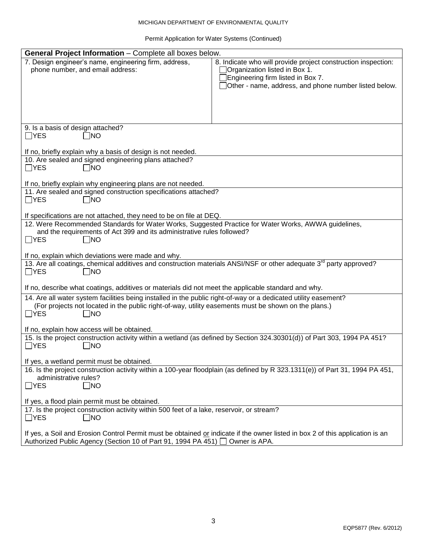#### MICHIGAN DEPARTMENT OF ENVIRONMENTAL QUALITY

Permit Application for Water Systems (Continued)

| <b>General Project Information - Complete all boxes below.</b>                                                                                                                                                          |                                                                                                                                                                                              |
|-------------------------------------------------------------------------------------------------------------------------------------------------------------------------------------------------------------------------|----------------------------------------------------------------------------------------------------------------------------------------------------------------------------------------------|
| 7. Design engineer's name, engineering firm, address,<br>phone number, and email address:                                                                                                                               | 8. Indicate who will provide project construction inspection:<br>Organization listed in Box 1.<br>Engineering firm listed in Box 7.<br>Other - name, address, and phone number listed below. |
| 9. Is a basis of design attached?                                                                                                                                                                                       |                                                                                                                                                                                              |
| $\Box$ YES<br>$\Box$ NO                                                                                                                                                                                                 |                                                                                                                                                                                              |
|                                                                                                                                                                                                                         |                                                                                                                                                                                              |
| If no, briefly explain why a basis of design is not needed.                                                                                                                                                             |                                                                                                                                                                                              |
| 10. Are sealed and signed engineering plans attached?<br>$\Box$ YES<br>$\Box$ NO                                                                                                                                        |                                                                                                                                                                                              |
|                                                                                                                                                                                                                         |                                                                                                                                                                                              |
| If no, briefly explain why engineering plans are not needed.                                                                                                                                                            |                                                                                                                                                                                              |
| 11. Are sealed and signed construction specifications attached?                                                                                                                                                         |                                                                                                                                                                                              |
| $\Box$ YES<br>∃NO                                                                                                                                                                                                       |                                                                                                                                                                                              |
| If specifications are not attached, they need to be on file at DEQ.                                                                                                                                                     |                                                                                                                                                                                              |
| 12. Were Recommended Standards for Water Works, Suggested Practice for Water Works, AWWA guidelines,                                                                                                                    |                                                                                                                                                                                              |
| and the requirements of Act 399 and its administrative rules followed?                                                                                                                                                  |                                                                                                                                                                                              |
| $\Box$ YES<br>∃NO                                                                                                                                                                                                       |                                                                                                                                                                                              |
| If no, explain which deviations were made and why.                                                                                                                                                                      |                                                                                                                                                                                              |
| 13. Are all coatings, chemical additives and construction materials ANSI/NSF or other adequate 3 <sup>rd</sup> party approved?                                                                                          |                                                                                                                                                                                              |
| $\Box$ YES<br>∃NO                                                                                                                                                                                                       |                                                                                                                                                                                              |
|                                                                                                                                                                                                                         |                                                                                                                                                                                              |
| If no, describe what coatings, additives or materials did not meet the applicable standard and why.                                                                                                                     |                                                                                                                                                                                              |
| 14. Are all water system facilities being installed in the public right-of-way or a dedicated utility easement?<br>(For projects not located in the public right-of-way, utility easements must be shown on the plans.) |                                                                                                                                                                                              |
| $\Box$ YES<br> NO                                                                                                                                                                                                       |                                                                                                                                                                                              |
|                                                                                                                                                                                                                         |                                                                                                                                                                                              |
| If no, explain how access will be obtained.                                                                                                                                                                             |                                                                                                                                                                                              |
| 15. Is the project construction activity within a wetland (as defined by Section 324.30301(d)) of Part 303, 1994 PA 451?                                                                                                |                                                                                                                                                                                              |
| $\Box$ YES<br>∃NO                                                                                                                                                                                                       |                                                                                                                                                                                              |
| If yes, a wetland permit must be obtained.                                                                                                                                                                              |                                                                                                                                                                                              |
| 16. Is the project construction activity within a 100-year floodplain (as defined by R 323.1311(e)) of Part 31, 1994 PA 451,                                                                                            |                                                                                                                                                                                              |
| administrative rules?                                                                                                                                                                                                   |                                                                                                                                                                                              |
| ∃NO<br>$\Box$ YES                                                                                                                                                                                                       |                                                                                                                                                                                              |
| If yes, a flood plain permit must be obtained.                                                                                                                                                                          |                                                                                                                                                                                              |
| 17. Is the project construction activity within 500 feet of a lake, reservoir, or stream?                                                                                                                               |                                                                                                                                                                                              |
| $\Box$ YES<br>$\Box$ NO                                                                                                                                                                                                 |                                                                                                                                                                                              |
|                                                                                                                                                                                                                         |                                                                                                                                                                                              |
| If yes, a Soil and Erosion Control Permit must be obtained or indicate if the owner listed in box 2 of this application is an                                                                                           |                                                                                                                                                                                              |
| Authorized Public Agency (Section 10 of Part 91, 1994 PA 451) □ Owner is APA.                                                                                                                                           |                                                                                                                                                                                              |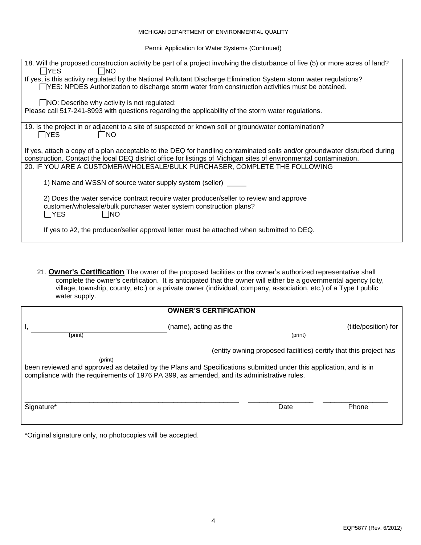#### MICHIGAN DEPARTMENT OF ENVIRONMENTAL QUALITY

Permit Application for Water Systems (Continued)

| 18. Will the proposed construction activity be part of a project involving the disturbance of five (5) or more acres of land?<br>l IYES.<br>I INO                                                                                               |
|-------------------------------------------------------------------------------------------------------------------------------------------------------------------------------------------------------------------------------------------------|
| If yes, is this activity regulated by the National Pollutant Discharge Elimination System storm water regulations?<br>TYES: NPDES Authorization to discharge storm water from construction activities must be obtained.                         |
| $\Box$ NO: Describe why activity is not regulated:<br>Please call 517-241-8993 with questions regarding the applicability of the storm water regulations.                                                                                       |
|                                                                                                                                                                                                                                                 |
| 19. Is the project in or adjacent to a site of suspected or known soil or groundwater contamination?<br>I IYES<br>- INO                                                                                                                         |
| If yes, attach a copy of a plan acceptable to the DEQ for handling contaminated soils and/or groundwater disturbed during<br>construction. Contact the local DEQ district office for listings of Michigan sites of environmental contamination. |
| 20. IF YOU ARE A CUSTOMER/WHOLESALE/BULK PURCHASER, COMPLETE THE FOLLOWING                                                                                                                                                                      |
| 1) Name and WSSN of source water supply system (seller)                                                                                                                                                                                         |
| 2) Does the water service contract require water producer/seller to review and approve<br>customer/wholesale/bulk purchaser water system construction plans?<br>$\sqcap$ YES<br>- INO                                                           |
| If yes to #2, the producer/seller approval letter must be attached when submitted to DEQ.                                                                                                                                                       |

21. **Owner's Certification** The owner of the proposed facilities or the owner's authorized representative shall complete the owner's certification. It is anticipated that the owner will either be a governmental agency (city, village, township, county, etc.) or a private owner (individual, company, association, etc.) of a Type I public water supply.

|                                                                                                                                                                                                                                                                                                  | <b>OWNER'S CERTIFICATION</b> |         |                      |
|--------------------------------------------------------------------------------------------------------------------------------------------------------------------------------------------------------------------------------------------------------------------------------------------------|------------------------------|---------|----------------------|
| (print)                                                                                                                                                                                                                                                                                          | (name), acting as the        | (print) | (title/position) for |
| (entity owning proposed facilities) certify that this project has<br>(print)<br>been reviewed and approved as detailed by the Plans and Specifications submitted under this application, and is in<br>compliance with the requirements of 1976 PA 399, as amended, and its administrative rules. |                              |         |                      |
| Signature*                                                                                                                                                                                                                                                                                       |                              | Date    | Phone                |

\*Original signature only, no photocopies will be accepted.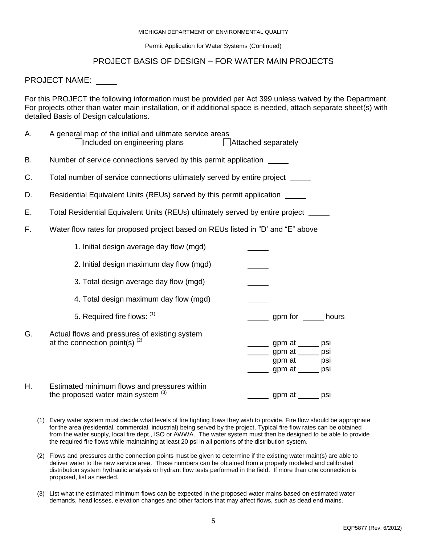#### MICHIGAN DEPARTMENT OF ENVIRONMENTAL QUALITY

Permit Application for Water Systems (Continued)

#### PROJECT BASIS OF DESIGN – FOR WATER MAIN PROJECTS

#### PROJECT NAME:

For this PROJECT the following information must be provided per Act 399 unless waived by the Department. For projects other than water main installation, or if additional space is needed, attach separate sheet(s) with detailed Basis of Design calculations.

| А. | A general map of the initial and ultimate service areas<br>Included on engineering plans | Attached separately                                                                                        |     |
|----|------------------------------------------------------------------------------------------|------------------------------------------------------------------------------------------------------------|-----|
| В. | Number of service connections served by this permit application                          |                                                                                                            |     |
| C. | Total number of service connections ultimately served by entire project ______           |                                                                                                            |     |
| D. | Residential Equivalent Units (REUs) served by this permit application _____              |                                                                                                            |     |
| Е. | Total Residential Equivalent Units (REUs) ultimately served by entire project ______     |                                                                                                            |     |
| F. | Water flow rates for proposed project based on REUs listed in "D' and "E" above          |                                                                                                            |     |
|    | 1. Initial design average day flow (mgd)                                                 |                                                                                                            |     |
|    | 2. Initial design maximum day flow (mgd)                                                 |                                                                                                            |     |
|    | 3. Total design average day flow (mgd)                                                   |                                                                                                            |     |
|    | 4. Total design maximum day flow (mgd)                                                   |                                                                                                            |     |
|    | 5. Required fire flows: (1)                                                              | gpm for ______ hours                                                                                       |     |
| G. | Actual flows and pressures of existing system<br>at the connection point(s) $(2)$        | ______ gpm at _____ psi<br>_______ gpm at ______ psi<br>______ gpm at _____ psi<br>______ gpm at _____ psi |     |
| Η. | Estimated minimum flows and pressures within<br>the proposed water main system $(3)$     | gpm at ____                                                                                                | psi |

- (1) Every water system must decide what levels of fire fighting flows they wish to provide. Fire flow should be appropriate for the area (residential, commercial, industrial) being served by the project. Typical fire flow rates can be obtained from the water supply, local fire dept., ISO or AWWA. The water system must then be designed to be able to provide the required fire flows while maintaining at least 20 psi in all portions of the distribution system.
- (2) Flows and pressures at the connection points must be given to determine if the existing water main(s) are able to deliver water to the new service area. These numbers can be obtained from a properly modeled and calibrated distribution system hydraulic analysis or hydrant flow tests performed in the field. If more than one connection is proposed, list as needed.
- (3) List what the estimated minimum flows can be expected in the proposed water mains based on estimated water demands, head losses, elevation changes and other factors that may affect flows, such as dead end mains.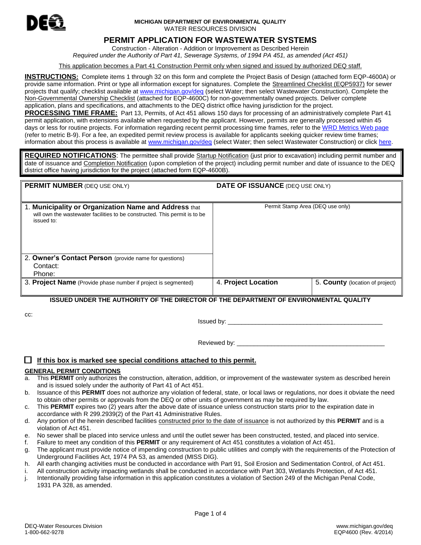

#### **MICHIGAN DEPARTMENT OF ENVIRONMENTAL QUALITY** WATER RESOURCES DIVISION

#### **PERMIT APPLICATION FOR WASTEWATER SYSTEMS**

Construction - Alteration - Addition or Improvement as Described Herein *Required under the Authority of Part 41, Sewerage Systems, of 1994 PA 451, as amended (Act 451)*

This application becomes a Part 41 Construction Permit only when signed and issued by authorized DEQ staff.

**INSTRUCTIONS:** Complete items 1 through 32 on this form and complete the Project Basis of Design (attached form EQP-4600A) or provide same information. Print or type all information except for signatures. Complete the Streamlined Checklist (EQP5937) for sewer projects that qualify; checklist available a[t www.michigan.gov/deq](http://www.michigan.gov/deq) (select Water; then select Wastewater Construction). Complete the Non-Governmental Ownership Checklist (attached for EQP-4600C) for non-governmentally owned projects. Deliver complete application, plans and specifications, and attachments to the DEQ district office having jurisdiction for the project.

**PROCESSING TIME FRAME:** Part 13, Permits, of Act 451 allows 150 days for processing of an administratively complete Part 41 permit application, with extensions available when requested by the applicant. However, permits are generally processed within 45 days or less for routine projects. For information regarding recent permit processing time frames, refer to th[e WRD Metrics Web](http://www.michigan.gov/deq/0,4561,7-135-3313-264982--,00.html) page (refer to metric B-9). For a fee, an expedited permit review process is available for applicants seeking quicker review time frames; information about this process is available a[t www.michigan.gov/deq](http://www.michigan.gov/deq) (select Water; then select Wastewater Construction) or click [here.](http://www.michigan.gov/deq/0,4561,7-135-3313_44117-172716--,00.html)

**REQUIRED NOTIFICATIONS**: The permittee shall provide Startup Notification (just prior to excavation) including permit number and date of issuance and Completion Notification (upon completion of the project) including permit number and date of issuance to the DEQ district office having jurisdiction for the project (attached form EQP-4600B).

#### **PERMIT NUMBER** (DEQ USE ONLY) **DATE OF ISSUANCE** (DEQ USE ONLY)

| 1. Municipality or Organization Name and Address that<br>will own the wastewater facilities to be constructed. This permit is to be<br>issued to: | Permit Stamp Area (DEQ use only) |                                 |
|---------------------------------------------------------------------------------------------------------------------------------------------------|----------------------------------|---------------------------------|
| 2. Owner's Contact Person (provide name for questions)                                                                                            |                                  |                                 |
| Contact:                                                                                                                                          |                                  |                                 |
| Phone:                                                                                                                                            |                                  |                                 |
| 3. Project Name (Provide phase number if project is segmented)                                                                                    | 4. Project Location              | 5. County (location of project) |

#### **ISSUED UNDER THE AUTHORITY OF THE DIRECTOR OF THE DEPARTMENT OF ENVIRONMENTAL QUALITY**

cc:

Issued by: \_\_\_\_\_\_\_\_\_\_\_\_\_\_\_\_\_\_\_\_\_\_\_\_\_\_\_\_\_\_\_\_\_\_\_\_\_\_\_\_\_\_\_\_\_

Reviewed by:

#### **If this box is marked see special conditions attached to this permit.**

#### **GENERAL PERMIT CONDITIONS**

- a. This **PERMIT** only authorizes the construction, alteration, addition, or improvement of the wastewater system as described herein and is issued solely under the authority of Part 41 of Act 451.
- b. Issuance of this **PERMIT** does not authorize any violation of federal, state, or local laws or regulations, nor does it obviate the need to obtain other permits or approvals from the DEQ or other units of government as may be required by law.
- c. This **PERMIT** expires two (2) years after the above date of issuance unless construction starts prior to the expiration date in accordance with R 299.2939(2) of the Part 41 Administrative Rules.
- d. Any portion of the herein described facilities constructed prior to the date of issuance is not authorized by this **PERMIT** and is a violation of Act 451.
- e. No sewer shall be placed into service unless and until the outlet sewer has been constructed, tested, and placed into service.
- f. Failure to meet any condition of this **PERMIT** or any requirement of Act 451 constitutes a violation of Act 451.
- g. The applicant must provide notice of impending construction to public utilities and comply with the requirements of the Protection of Underground Facilities Act, 1974 PA 53, as amended (MISS DIG).
- h. All earth changing activities must be conducted in accordance with Part 91, Soil Erosion and Sedimentation Control, of Act 451.
- i. All construction activity impacting wetlands shall be conducted in accordance with Part 303, Wetlands Protection, of Act 451.
- j. Intentionally providing false information in this application constitutes a violation of Section 249 of the Michigan Penal Code, 1931 PA 328, as amended.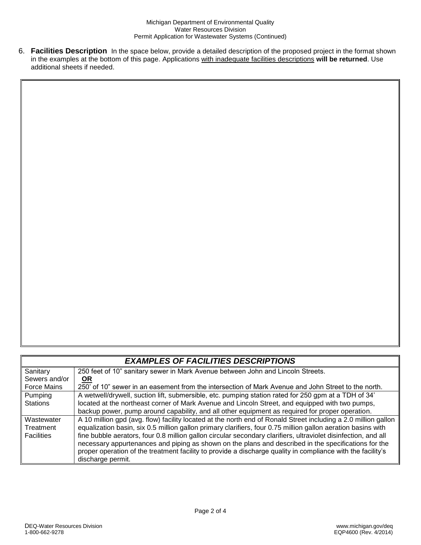6. **Facilities Description** In the space below, provide a detailed description of the proposed project in the format shown in the examples at the bottom of this page. Applications with inadequate facilities descriptions **will be returned**. Use additional sheets if needed.

|                    | <b>EXAMPLES OF FACILITIES DESCRIPTIONS</b>                                                                     |
|--------------------|----------------------------------------------------------------------------------------------------------------|
| Sanitary           | 250 feet of 10" sanitary sewer in Mark Avenue between John and Lincoln Streets.                                |
| Sewers and/or      | <u>OR</u>                                                                                                      |
| <b>Force Mains</b> | 250' of 10" sewer in an easement from the intersection of Mark Avenue and John Street to the north.            |
| Pumping            | A wetwell/drywell, suction lift, submersible, etc. pumping station rated for 250 gpm at a TDH of 34'           |
| <b>Stations</b>    | located at the northeast corner of Mark Avenue and Lincoln Street, and equipped with two pumps,                |
|                    | backup power, pump around capability, and all other equipment as required for proper operation.                |
| Wastewater         | A 10 million gpd (avg. flow) facility located at the north end of Ronald Street including a 2.0 million gallon |
| Treatment          | equalization basin, six 0.5 million gallon primary clarifiers, four 0.75 million gallon aeration basins with   |
| <b>Facilities</b>  | fine bubble aerators, four 0.8 million gallon circular secondary clarifiers, ultraviolet disinfection, and all |
|                    | necessary appurtenances and piping as shown on the plans and described in the specifications for the           |
|                    | proper operation of the treatment facility to provide a discharge quality in compliance with the facility's    |
|                    | discharge permit.                                                                                              |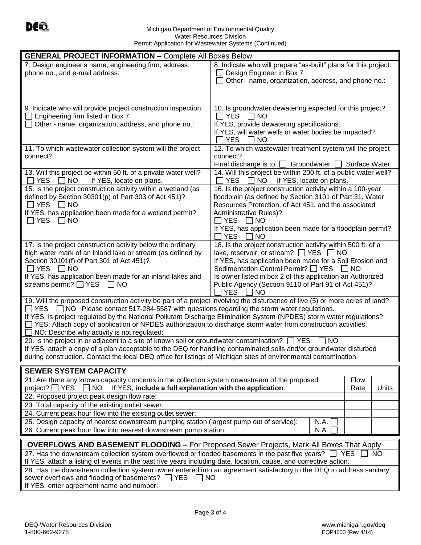#### Michigan Department of Environmental Quality Water Resources Division Permit Application for Wastewater Systems (Continued)

| <b>GENERAL PROJECT INFORMATION - Complete All Boxes Below</b>                                                                                                                                                                              |                                                                                                                  |  |  |
|--------------------------------------------------------------------------------------------------------------------------------------------------------------------------------------------------------------------------------------------|------------------------------------------------------------------------------------------------------------------|--|--|
| 7. Design engineer's name, engineering firm, address,                                                                                                                                                                                      | 8. Indicate who will prepare "as-built" plans for this project:                                                  |  |  |
| phone no., and e-mail address:                                                                                                                                                                                                             | Design Engineer in Box 7                                                                                         |  |  |
|                                                                                                                                                                                                                                            | Other - name, organization, address, and phone no.:                                                              |  |  |
|                                                                                                                                                                                                                                            |                                                                                                                  |  |  |
| 9. Indicate who will provide project construction inspection:                                                                                                                                                                              | 10. Is groundwater dewatering expected for this project?                                                         |  |  |
| Engineering firm listed in Box 7                                                                                                                                                                                                           | $\Box$ YES<br>$\vert$ $\vert$ NO                                                                                 |  |  |
| Other - name, organization, address, and phone no.:                                                                                                                                                                                        | If YES, provide dewatering specifications.                                                                       |  |  |
|                                                                                                                                                                                                                                            | If YES, will water wells or water bodies be impacted?                                                            |  |  |
|                                                                                                                                                                                                                                            | <b>YES</b><br><b>NO</b><br>12. To which wastewater treatment system will the project                             |  |  |
| 11. To which wastewater collection system will the project<br>connect?                                                                                                                                                                     | connect?                                                                                                         |  |  |
|                                                                                                                                                                                                                                            | Final discharge is to: $\Box$ Groundwater $\Box$ Surface Water                                                   |  |  |
| 13. Will this project be within 50 ft. of a private water well?                                                                                                                                                                            | 14. Will this project be within 200 ft. of a public water well?                                                  |  |  |
| <b>YES</b><br>NO.<br>If YES, locate on plans.                                                                                                                                                                                              | YES II<br>NO.<br>If YES, locate on plans.                                                                        |  |  |
| 15. Is the project construction activity within a wetland (as                                                                                                                                                                              | 16. Is the project construction activity within a 100-year                                                       |  |  |
| defined by Section 30301(p) of Part 303 of Act 451)?<br>$\Box$ YES $\Box$ NO                                                                                                                                                               | floodplain (as defined by Section 3101 of Part 31, Water<br>Resources Protection, of Act 451, and the associated |  |  |
| If YES, has application been made for a wetland permit?                                                                                                                                                                                    | <b>Administrative Rules)?</b>                                                                                    |  |  |
| $\Box$ YES $\Box$ NO                                                                                                                                                                                                                       | ∣ YES<br>$\vert$ $\vert$ NO                                                                                      |  |  |
|                                                                                                                                                                                                                                            | If YES, has application been made for a floodplain permit?                                                       |  |  |
|                                                                                                                                                                                                                                            | YES.<br>NO.                                                                                                      |  |  |
| 17. Is the project construction activity below the ordinary<br>high water mark of an inland lake or stream (as defined by                                                                                                                  | 18. Is the project construction activity within 500 ft. of a<br>lake, reservoir, or stream? $\Box$ YES $\Box$ NO |  |  |
| Section 30101(f) of Part 301 of Act 451)?                                                                                                                                                                                                  | If YES, has application been made for a Soil Erosion and                                                         |  |  |
| $\Box$ YES $\Box$ NO                                                                                                                                                                                                                       | Sedimentation Control Permit?   YES   NO                                                                         |  |  |
| If YES, has application been made for an inland lakes and                                                                                                                                                                                  | Is owner listed in box 2 of this application an Authorized                                                       |  |  |
| streams permit? $\Box$ YES $\Box$ NO                                                                                                                                                                                                       | Public Agency (Section 9110 of Part 91 of Act 451)?<br><b>YES</b>                                                |  |  |
| 19. Will the proposed construction activity be part of a project involving the disturbance of five (5) or more acres of land?                                                                                                              | NO                                                                                                               |  |  |
| $\Box$ YES $\Box$ NO Please contact 517-284-5587 with questions regarding the storm water regulations.                                                                                                                                     |                                                                                                                  |  |  |
| If YES, is project regulated by the National Pollutant Discharge Elimination System (NPDES) storm water regulations?                                                                                                                       |                                                                                                                  |  |  |
| □ YES: Attach copy of application or NPDES authorization to discharge storm water from construction activities.                                                                                                                            |                                                                                                                  |  |  |
| NO: Describe why activity is not regulated:                                                                                                                                                                                                |                                                                                                                  |  |  |
| 20. Is the project in or adjacent to a site of known soil or groundwater contamination?<br>$\sqcap$ YES<br><b>NO</b><br>If YES, attach a copy of a plan acceptable to the DEQ for handling contaminated soils and/or groundwater disturbed |                                                                                                                  |  |  |
| during construction. Contact the local DEQ office for listings of Michigan sites of environmental contamination.                                                                                                                           |                                                                                                                  |  |  |
| <b>SEWER SYSTEM CAPACITY</b>                                                                                                                                                                                                               |                                                                                                                  |  |  |
| 21. Are there any known capacity concerns in the collection system downstream of the proposed                                                                                                                                              | Flow                                                                                                             |  |  |
| If YES, include a full explanation with the application.<br>project? $\Box$ YES<br><b>NO</b>                                                                                                                                               | Rate<br>Units                                                                                                    |  |  |
| 22. Proposed project peak design flow rate:                                                                                                                                                                                                |                                                                                                                  |  |  |
| 23. Total capacity of the existing outlet sewer:                                                                                                                                                                                           |                                                                                                                  |  |  |
| 24. Current peak hour flow into the existing outlet sewer:                                                                                                                                                                                 |                                                                                                                  |  |  |
| 25. Design capacity of nearest downstream pumping station (largest pump out of service):                                                                                                                                                   | N.A.                                                                                                             |  |  |
| 26. Current peak hour flow into nearest downstream pump station:                                                                                                                                                                           | N.A.                                                                                                             |  |  |
| <b>OVERFLOWS AND BASEMENT FLOODING - For Proposed Sewer Projects, Mark All Boxes That Apply</b>                                                                                                                                            |                                                                                                                  |  |  |
| 27. Has the downstream collection system overflowed or flooded basements in the past five years? $\Box$ YES<br><b>NO</b>                                                                                                                   |                                                                                                                  |  |  |
| If YES, attach a listing of events in the past five years including date, location, cause, and corrective action.                                                                                                                          |                                                                                                                  |  |  |
| 28. Has the downstream collection system owner entered into an agreement satisfactory to the DEQ to address sanitary<br>sewer overflows and flooding of basements? □ YES<br>$\Box$ No                                                      |                                                                                                                  |  |  |
| If YES, enter agreement name and number:                                                                                                                                                                                                   |                                                                                                                  |  |  |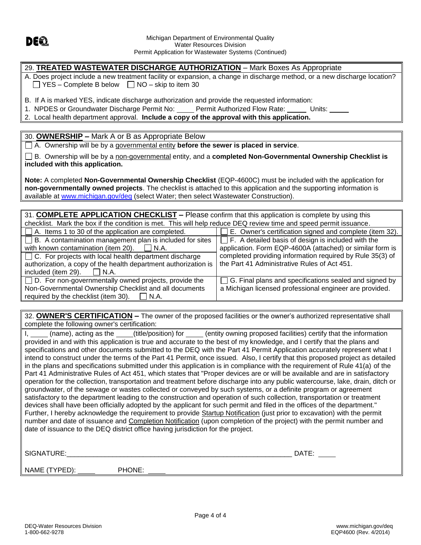

#### 29. **TREATED WASTEWATER DISCHARGE AUTHORIZATION** – Mark Boxes As Appropriate

A. Does project include a new treatment facility or expansion, a change in discharge method, or a new discharge location?  $\Box$  YES – Complete B below  $\Box$  NO – skip to item 30

B. If A is marked YES, indicate discharge authorization and provide the requested information:

1. NPDES or Groundwater Discharge Permit No: Permit Authorized Flow Rate: Units:

2. Local health department approval. **Include a copy of the approval with this application.**

30. **OWNERSHIP –** Mark A or B as Appropriate Below

A. Ownership will be by a governmental entity **before the sewer is placed in service**.

B. Ownership will be by a non-governmental entity, and a **completed Non-Governmental Ownership Checklist is included with this application.** 

**Note:** A completed **Non-Governmental Ownership Checklist** (EQP-4600C) must be included with the application for **non-governmentally owned projects**. The checklist is attached to this application and the supporting information is available at [www.michigan.gov/deq](http://www.michigan.gov/Documents%20and%20Settings/HillC/Local%20Settings/Temporary%20Internet%20Files/Content.Outlook/G2NMCFPG/www.michigan.gov/deq) (select Water; then select Wastewater Construction).

31. **COMPLETE APPLICATION CHECKLIST –** Please confirm that this application is complete by using this checklist. Mark the box if the condition is met. This will help reduce DEQ review time and speed permit issuance.

| $\Box$ A. Items 1 to 30 of the application are completed.       | E. Owner's certification signed and complete (item 32).       |  |  |
|-----------------------------------------------------------------|---------------------------------------------------------------|--|--|
| $\Box$ B. A contamination management plan is included for sites | $\Box$ F. A detailed basis of design is included with the     |  |  |
| with known contamination (item 20). $\Box$ N.A.                 | application. Form EQP-4600A (attached) or similar form is     |  |  |
| $\Box$ C. For projects with local health department discharge   | completed providing information required by Rule 35(3) of     |  |  |
| authorization, a copy of the health department authorization is | the Part 41 Administrative Rules of Act 451.                  |  |  |
| included (item 29). $\Box$ N.A.                                 |                                                               |  |  |
| $\Box$ D. For non-governmentally owned projects, provide the    | $\Box$ G. Final plans and specifications sealed and signed by |  |  |
| Non-Governmental Ownership Checklist and all documents          | a Michigan licensed professional engineer are provided.       |  |  |
| required by the checklist (item 30). $\Box$ N.A.                |                                                               |  |  |

32. **OWNER'S CERTIFICATION –** The owner of the proposed facilities or the owner's authorized representative shall complete the following owner's certification:

I, (name), acting as the (title/position) for (entity owning proposed facilities) certify that the information provided in and with this application is true and accurate to the best of my knowledge, and I certify that the plans and specifications and other documents submitted to the DEQ with the Part 41 Permit Application accurately represent what I intend to construct under the terms of the Part 41 Permit, once issued. Also, I certify that this proposed project as detailed in the plans and specifications submitted under this application is in compliance with the requirement of Rule 41(a) of the Part 41 Administrative Rules of Act 451, which states that "Proper devices are or will be available and are in satisfactory operation for the collection, transportation and treatment before discharge into any public watercourse, lake, drain, ditch or groundwater, of the sewage or wastes collected or conveyed by such systems, or a definite program or agreement satisfactory to the department leading to the construction and operation of such collection, transportation or treatment devices shall have been officially adopted by the applicant for such permit and filed in the offices of the department." Further, I hereby acknowledge the requirement to provide Startup Notification (just prior to excavation) with the permit number and date of issuance and Completion Notification (upon completion of the project) with the permit number and date of issuance to the DEQ district office having jurisdiction for the project.

SIGNATURE:\_\_\_\_\_\_\_\_\_\_\_\_\_\_\_\_\_\_\_\_\_\_\_\_\_\_\_\_\_\_\_\_\_\_\_\_\_\_\_\_\_\_\_\_\_\_\_\_\_\_\_\_\_\_\_\_\_\_\_ DATE:

NAME (TYPED): PHONE: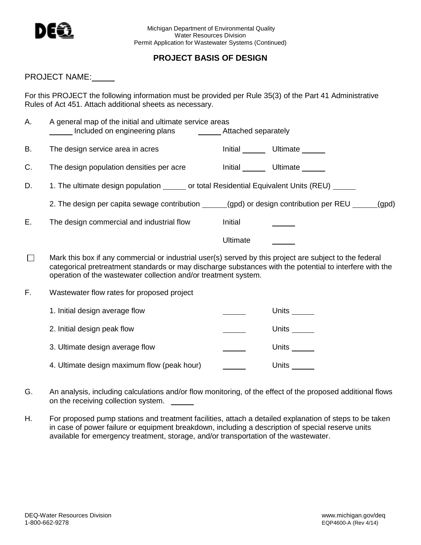

## **PROJECT BASIS OF DESIGN**

#### PROJECT NAME:

For this PROJECT the following information must be provided per Rule 35(3) of the Part 41 Administrative Rules of Act 451. Attach additional sheets as necessary.

| А.      | A general map of the initial and ultimate service areas                                                                                                                                                                                                                               |          |                                 |
|---------|---------------------------------------------------------------------------------------------------------------------------------------------------------------------------------------------------------------------------------------------------------------------------------------|----------|---------------------------------|
| В.      | The design service area in acres                                                                                                                                                                                                                                                      |          | Initial _______ Ultimate ______ |
| C.      | The design population densities per acre linitial _______ Ultimate ______                                                                                                                                                                                                             |          |                                 |
| D.      | 1. The ultimate design population ______ or total Residential Equivalent Units (REU) _____                                                                                                                                                                                            |          |                                 |
|         | 2. The design per capita sewage contribution ______(gpd) or design contribution per REU _____(gpd)                                                                                                                                                                                    |          |                                 |
| Ε.      | The design commercial and industrial flow                                                                                                                                                                                                                                             | Initial  |                                 |
|         |                                                                                                                                                                                                                                                                                       | Ultimate |                                 |
| $\perp$ | Mark this box if any commercial or industrial user(s) served by this project are subject to the federal<br>categorical pretreatment standards or may discharge substances with the potential to interfere with the<br>operation of the wastewater collection and/or treatment system. |          |                                 |
| F.      | Wastewater flow rates for proposed project                                                                                                                                                                                                                                            |          |                                 |
|         | 1. Initial design average flow                                                                                                                                                                                                                                                        |          | Units $\_\_$                    |
|         | 2. Initial design peak flow                                                                                                                                                                                                                                                           |          | Units $\_\_$                    |
|         | 3. Ultimate design average flow                                                                                                                                                                                                                                                       |          | Units $\_\_$                    |
|         | 4. Ultimate design maximum flow (peak hour)                                                                                                                                                                                                                                           |          | Units $\overline{\phantom{a}}$  |

- G. An analysis, including calculations and/or flow monitoring, of the effect of the proposed additional flows on the receiving collection system.
- H. For proposed pump stations and treatment facilities, attach a detailed explanation of steps to be taken in case of power failure or equipment breakdown, including a description of special reserve units available for emergency treatment, storage, and/or transportation of the wastewater.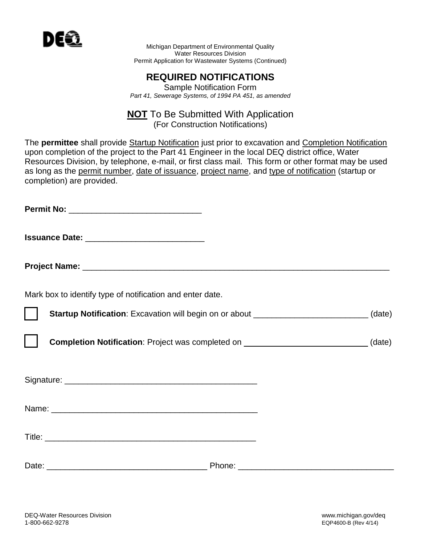

Michigan Department of Environmental Quality Water Resources Division Permit Application for Wastewater Systems (Continued)

## **REQUIRED NOTIFICATIONS**

Sample Notification Form *Part 41, Sewerage Systems, of 1994 PA 451, as amended*

# **NOT** To Be Submitted With Application

(For Construction Notifications)

The **permittee** shall provide Startup Notification just prior to excavation and Completion Notification upon completion of the project to the Part 41 Engineer in the local DEQ district office, Water Resources Division, by telephone, e-mail, or first class mail. This form or other format may be used as long as the permit number, date of issuance, project name, and type of notification (startup or completion) are provided.

**Permit No:**  $\blacksquare$ 

**Issuance Date:** \_\_\_\_\_\_\_\_\_\_\_\_\_\_\_\_\_\_\_\_\_\_\_\_\_\_

**Project Name:** \_\_\_\_\_\_\_\_\_\_\_\_\_\_\_\_\_\_\_\_\_\_\_\_\_\_\_\_\_\_\_\_\_\_\_\_\_\_\_\_\_\_\_\_\_\_\_\_\_\_\_\_\_\_\_\_\_\_\_\_\_\_\_\_\_\_\_

Mark box to identify type of notification and enter date.

**Startup Notification**: Excavation will begin on or about \_\_\_\_\_\_\_\_\_\_\_\_\_\_\_\_\_\_\_\_\_\_\_\_\_\_\_(date)

**Completion Notification**: Project was completed on  $(date)$ 

Signature: \_\_\_\_\_\_\_\_\_\_\_\_\_\_\_\_\_\_\_\_\_\_\_\_\_\_\_\_\_\_\_\_\_\_\_\_\_\_\_\_\_\_

Name: \_\_\_\_\_\_\_\_\_\_\_\_\_\_\_\_\_\_\_\_\_\_\_\_\_\_\_\_\_\_\_\_\_\_\_\_\_\_\_\_\_\_\_\_\_

Title: \_\_\_\_\_\_\_\_\_\_\_\_\_\_\_\_\_\_\_\_\_\_\_\_\_\_\_\_\_\_\_\_\_\_\_\_\_\_\_\_\_\_\_\_\_\_

Date: \_\_\_\_\_\_\_\_\_\_\_\_\_\_\_\_\_\_\_\_\_\_\_\_\_\_\_\_\_\_\_\_\_\_\_ Phone: \_\_\_\_\_\_\_\_\_\_\_\_\_\_\_\_\_\_\_\_\_\_\_\_\_\_\_\_\_\_\_\_\_\_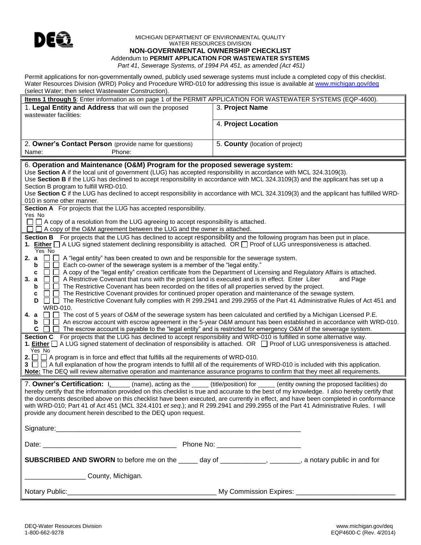

#### MICHIGAN DEPARTMENT OF ENVIRONMENTAL QUALITY WATER RESOURCES DIVISION

#### **NON-GOVERNMENTAL OWNERSHIP CHECKLIST**

Addendum to **PERMIT APPLICATION FOR WASTEWATER SYSTEMS** 

*Part 41, Sewerage Systems, of 1994 PA 451, as amended (Act 451)*

Permit applications for non-governmentally owned, publicly used sewerage systems must include a completed copy of this checklist. Water Resources Division (WRD) Policy and Procedure WRD-010 for addressing this issue is available a[t www.michigan.gov/deq](http://www.michigan.gov/Documents%20and%20Settings/HillC/Local%20Settings/Temporary%20Internet%20Files/Content.Outlook/G2NMCFPG/www.michigan.gov/deq) (select Water; then select Wastewater Construction).

| Items 1 through 5: Enter information as on page 1 of the PERMIT APPLICATION FOR WASTEWATER SYSTEMS (EQP-4600).                                                                                                                                                                                                                                                                                                                                                                                                                                                                                                                                                                                                                                                                                                                                                                                                                                                                                                                                                                                                                                                                                                                                                                                                                                                                                                                                                                                                                                                                                                                                                                                                                                                                                                                                                                                                                                                                                                                                                                                                                                                                                                           |                                 |  |
|--------------------------------------------------------------------------------------------------------------------------------------------------------------------------------------------------------------------------------------------------------------------------------------------------------------------------------------------------------------------------------------------------------------------------------------------------------------------------------------------------------------------------------------------------------------------------------------------------------------------------------------------------------------------------------------------------------------------------------------------------------------------------------------------------------------------------------------------------------------------------------------------------------------------------------------------------------------------------------------------------------------------------------------------------------------------------------------------------------------------------------------------------------------------------------------------------------------------------------------------------------------------------------------------------------------------------------------------------------------------------------------------------------------------------------------------------------------------------------------------------------------------------------------------------------------------------------------------------------------------------------------------------------------------------------------------------------------------------------------------------------------------------------------------------------------------------------------------------------------------------------------------------------------------------------------------------------------------------------------------------------------------------------------------------------------------------------------------------------------------------------------------------------------------------------------------------------------------------|---------------------------------|--|
| 1. Legal Entity and Address that will own the proposed<br>wastewater facilities:                                                                                                                                                                                                                                                                                                                                                                                                                                                                                                                                                                                                                                                                                                                                                                                                                                                                                                                                                                                                                                                                                                                                                                                                                                                                                                                                                                                                                                                                                                                                                                                                                                                                                                                                                                                                                                                                                                                                                                                                                                                                                                                                         | 3. Project Name                 |  |
|                                                                                                                                                                                                                                                                                                                                                                                                                                                                                                                                                                                                                                                                                                                                                                                                                                                                                                                                                                                                                                                                                                                                                                                                                                                                                                                                                                                                                                                                                                                                                                                                                                                                                                                                                                                                                                                                                                                                                                                                                                                                                                                                                                                                                          | 4. Project Location             |  |
| 2. Owner's Contact Person (provide name for questions)<br>Phone:<br>Name:                                                                                                                                                                                                                                                                                                                                                                                                                                                                                                                                                                                                                                                                                                                                                                                                                                                                                                                                                                                                                                                                                                                                                                                                                                                                                                                                                                                                                                                                                                                                                                                                                                                                                                                                                                                                                                                                                                                                                                                                                                                                                                                                                | 5. County (location of project) |  |
|                                                                                                                                                                                                                                                                                                                                                                                                                                                                                                                                                                                                                                                                                                                                                                                                                                                                                                                                                                                                                                                                                                                                                                                                                                                                                                                                                                                                                                                                                                                                                                                                                                                                                                                                                                                                                                                                                                                                                                                                                                                                                                                                                                                                                          |                                 |  |
| 6. Operation and Maintenance (O&M) Program for the proposed sewerage system:<br>Use Section A if the local unit of government (LUG) has accepted responsibility in accordance with MCL 324.3109(3).<br>Use Section B if the LUG has declined to accept responsibility in accordance with MCL 324.3109(3) and the applicant has set up a<br>Section B program to fulfill WRD-010.<br>Use Section C if the LUG has declined to accept responsibility in accordance with MCL 324.3109(3) and the applicant has fulfilled WRD-<br>010 in some other manner.                                                                                                                                                                                                                                                                                                                                                                                                                                                                                                                                                                                                                                                                                                                                                                                                                                                                                                                                                                                                                                                                                                                                                                                                                                                                                                                                                                                                                                                                                                                                                                                                                                                                  |                                 |  |
| Section A For projects that the LUG has accepted responsibility.                                                                                                                                                                                                                                                                                                                                                                                                                                                                                                                                                                                                                                                                                                                                                                                                                                                                                                                                                                                                                                                                                                                                                                                                                                                                                                                                                                                                                                                                                                                                                                                                                                                                                                                                                                                                                                                                                                                                                                                                                                                                                                                                                         |                                 |  |
| Yes No<br>$\Box$ A copy of a resolution from the LUG agreeing to accept responsibility is attached.<br>$\Box$<br>□ A copy of the O&M agreement between the LUG and the owner is attached.                                                                                                                                                                                                                                                                                                                                                                                                                                                                                                                                                                                                                                                                                                                                                                                                                                                                                                                                                                                                                                                                                                                                                                                                                                                                                                                                                                                                                                                                                                                                                                                                                                                                                                                                                                                                                                                                                                                                                                                                                                |                                 |  |
| Section B For projects that the LUG has declined to accept responsibility and the following program has been put in place.<br>1. Either $\Box$ A LUG signed statement declining responsibility is attached. OR $\Box$ Proof of LUG unresponsiveness is attached.<br>$Yes$ No<br>2. a<br>$\Box$ A "legal entity" has been created to own and be responsible for the sewerage system.<br>Each co-owner of the sewerage system is a member of the "legal entity."<br>b<br>A copy of the "legal entity" creation certificate from the Department of Licensing and Regulatory Affairs is attached.<br>$\Box$<br>$\perp$<br>c<br>3. a<br>A Restrictive Covenant that runs with the project land is executed and is in effect. Enter Liber<br>and Page<br>The Restrictive Covenant has been recorded on the titles of all properties served by the project.<br>b<br>The Restrictive Covenant provides for continued proper operation and maintenance of the sewage system.<br>c<br>The Restrictive Covenant fully complies with R 299.2941 and 299.2955 of the Part 41 Administrative Rules of Act 451 and<br>D<br>1 1 1 1<br>WRD-010.<br>4. a<br>□ □ The cost of 5 years of O&M of the sewerage system has been calculated and certified by a Michigan Licensed P.E.<br>An escrow account with escrow agreement in the 5-year O&M amount has been established in accordance with WRD-010.<br>b<br>$\perp$<br>С<br>$\Box$<br>The escrow account is payable to the "legal entity" and is restricted for emergency O&M of the sewerage system.<br>l 1<br>Section C For projects that the LUG has declined to accept responsibility and WRD-010 is fulfilled in some alternative way.<br>1. <b>Either</b>   A LUG signed statement of declination of responsibility is attached. OR   Proof of LUG unresponsiveness is attached.<br>Yes No<br><b>2.</b> $\Box$ $\Box$ A program is in force and effect that fulfills all the requirements of WRD-010.<br>3 $\Box$ A full explanation of how the program intends to fulfill all of the requirements of WRD-010 is included with this application.<br>Note: The DEQ will review alternative operation and maintenance assurance programs to confirm that they meet all requirements. |                                 |  |
| 7. Owner's Certification: I. (name), acting as the _____ (title/position) for _____ (entity owning the proposed facilities) do<br>hereby certify that the information provided on this checklist is true and accurate to the best of my knowledge. I also hereby certify that<br>the documents described above on this checklist have been executed, are currently in effect, and have been completed in conformance<br>with WRD-010; Part 41 of Act 451 (MCL 324.4101 et seq.); and R 299.2941 and 299.2955 of the Part 41 Administrative Rules. I will<br>provide any document herein described to the DEQ upon request.                                                                                                                                                                                                                                                                                                                                                                                                                                                                                                                                                                                                                                                                                                                                                                                                                                                                                                                                                                                                                                                                                                                                                                                                                                                                                                                                                                                                                                                                                                                                                                                               |                                 |  |
|                                                                                                                                                                                                                                                                                                                                                                                                                                                                                                                                                                                                                                                                                                                                                                                                                                                                                                                                                                                                                                                                                                                                                                                                                                                                                                                                                                                                                                                                                                                                                                                                                                                                                                                                                                                                                                                                                                                                                                                                                                                                                                                                                                                                                          |                                 |  |
|                                                                                                                                                                                                                                                                                                                                                                                                                                                                                                                                                                                                                                                                                                                                                                                                                                                                                                                                                                                                                                                                                                                                                                                                                                                                                                                                                                                                                                                                                                                                                                                                                                                                                                                                                                                                                                                                                                                                                                                                                                                                                                                                                                                                                          |                                 |  |
| <b>SUBSCRIBED AND SWORN</b> to before me on the _____ day of ____________, _______, a notary public in and for                                                                                                                                                                                                                                                                                                                                                                                                                                                                                                                                                                                                                                                                                                                                                                                                                                                                                                                                                                                                                                                                                                                                                                                                                                                                                                                                                                                                                                                                                                                                                                                                                                                                                                                                                                                                                                                                                                                                                                                                                                                                                                           |                                 |  |
| County, Michigan.                                                                                                                                                                                                                                                                                                                                                                                                                                                                                                                                                                                                                                                                                                                                                                                                                                                                                                                                                                                                                                                                                                                                                                                                                                                                                                                                                                                                                                                                                                                                                                                                                                                                                                                                                                                                                                                                                                                                                                                                                                                                                                                                                                                                        |                                 |  |
|                                                                                                                                                                                                                                                                                                                                                                                                                                                                                                                                                                                                                                                                                                                                                                                                                                                                                                                                                                                                                                                                                                                                                                                                                                                                                                                                                                                                                                                                                                                                                                                                                                                                                                                                                                                                                                                                                                                                                                                                                                                                                                                                                                                                                          |                                 |  |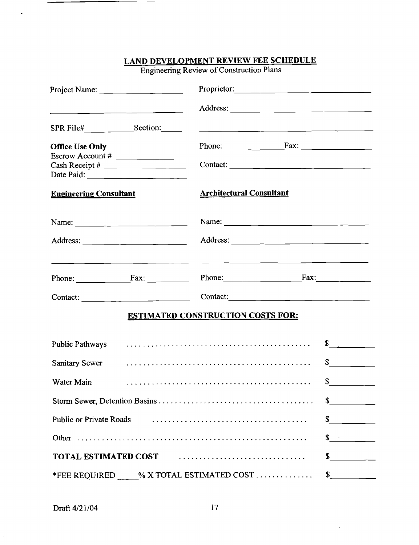|                                                                                                                                                                                                                                                                                                                                                                                                                                                   | Engineering Review of Construction Plans                                                          |                             |
|---------------------------------------------------------------------------------------------------------------------------------------------------------------------------------------------------------------------------------------------------------------------------------------------------------------------------------------------------------------------------------------------------------------------------------------------------|---------------------------------------------------------------------------------------------------|-----------------------------|
|                                                                                                                                                                                                                                                                                                                                                                                                                                                   | Proprietor:                                                                                       |                             |
|                                                                                                                                                                                                                                                                                                                                                                                                                                                   |                                                                                                   |                             |
| SPR File#____________________Section:______                                                                                                                                                                                                                                                                                                                                                                                                       | <u> 1980 - Jan James, Amerikaansk politiker (* 1905)</u>                                          |                             |
| <b>Office Use Only</b>                                                                                                                                                                                                                                                                                                                                                                                                                            |                                                                                                   |                             |
| Escrow Account # $\frac{1}{\sqrt{1-\frac{1}{2}}\sqrt{1-\frac{1}{2}}\sqrt{1-\frac{1}{2}}\sqrt{1-\frac{1}{2}}}}$                                                                                                                                                                                                                                                                                                                                    |                                                                                                   |                             |
| <b>Engineering Consultant</b>                                                                                                                                                                                                                                                                                                                                                                                                                     | <b>Architectural Consultant</b>                                                                   |                             |
| Name: $\frac{1}{\sqrt{1-\frac{1}{2}} \cdot \frac{1}{\sqrt{1-\frac{1}{2}} \cdot \frac{1}{\sqrt{1-\frac{1}{2}} \cdot \frac{1}{\sqrt{1-\frac{1}{2}} \cdot \frac{1}{\sqrt{1-\frac{1}{2}} \cdot \frac{1}{\sqrt{1-\frac{1}{2}} \cdot \frac{1}{\sqrt{1-\frac{1}{2}} \cdot \frac{1}{\sqrt{1-\frac{1}{2}} \cdot \frac{1}{\sqrt{1-\frac{1}{2}} \cdot \frac{1}{\sqrt{1-\frac{1}{2}} \cdot \frac{1}{\sqrt{1-\frac{1}{2}} \cdot \frac{1}{\sqrt{1-\frac{1}{2}}$ |                                                                                                   |                             |
|                                                                                                                                                                                                                                                                                                                                                                                                                                                   |                                                                                                   |                             |
| Phone: $\begin{array}{c} \begin{array}{c} \text{Flax:} \\ \hline \end{array} \end{array}$                                                                                                                                                                                                                                                                                                                                                         | Phone: $\qquad \qquad \qquad \qquad \qquad \qquad \qquad \qquad \qquad \qquad \qquad \text{Fax:}$ |                             |
| Contact: $\frac{1}{\sqrt{1-\frac{1}{2}} \cdot \frac{1}{\sqrt{1-\frac{1}{2}} \cdot \frac{1}{\sqrt{1-\frac{1}{2}} \cdot \frac{1}{\sqrt{1-\frac{1}{2}} \cdot \frac{1}{\sqrt{1-\frac{1}{2}} \cdot \frac{1}{\sqrt{1-\frac{1}{2}} \cdot \frac{1}{\sqrt{1-\frac{1}{2}} \cdot \frac{1}{\sqrt{1-\frac{1}{2}} \cdot \frac{1}{\sqrt{1-\frac{1}{2}} \cdot \frac{1}{\sqrt{1-\frac{1}{2}} \cdot \frac{1}{\sqrt{1-\frac{1}{2}} \cdot \frac{1}{\sqrt{1-\frac{1$   | Contact:                                                                                          |                             |
|                                                                                                                                                                                                                                                                                                                                                                                                                                                   | <b>ESTIMATED CONSTRUCTION COSTS FOR:</b>                                                          |                             |
| <b>Public Pathways</b>                                                                                                                                                                                                                                                                                                                                                                                                                            |                                                                                                   | $\frac{1}{2}$               |
| Sanitary Sewer                                                                                                                                                                                                                                                                                                                                                                                                                                    |                                                                                                   | $\frac{\text{S}}{\text{S}}$ |
| Water Main                                                                                                                                                                                                                                                                                                                                                                                                                                        |                                                                                                   | \$                          |
|                                                                                                                                                                                                                                                                                                                                                                                                                                                   |                                                                                                   | $\frac{1}{\sqrt{2}}$        |
| <b>Public or Private Roads</b>                                                                                                                                                                                                                                                                                                                                                                                                                    |                                                                                                   | $\frac{1}{\sqrt{2}}$        |
|                                                                                                                                                                                                                                                                                                                                                                                                                                                   |                                                                                                   | $\frac{\sqrt{2}}{2}$        |
|                                                                                                                                                                                                                                                                                                                                                                                                                                                   | TOTAL ESTIMATED COST FIND TOTAL ESTIMATED COST                                                    | $\sim$                      |
|                                                                                                                                                                                                                                                                                                                                                                                                                                                   | *FEE REQUIRED ____% X TOTAL ESTIMATED COST                                                        | $\frac{\text{S}}{\text{S}}$ |

## **LAND DEVELOPMENT REVIEW FEE SCHEDULE**

Engineering Review of Construction Plans

— -

J.

Draft 4/21/04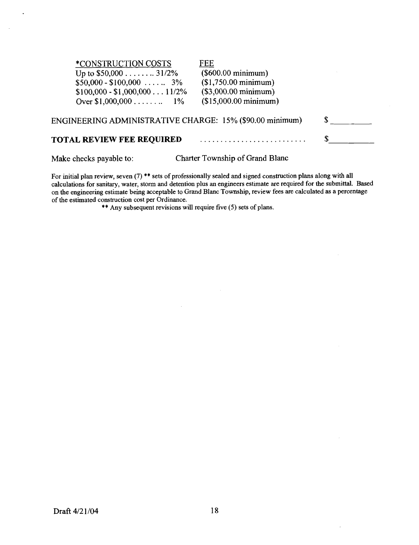| <i><b>*CONSTRUCTION COSTS</b></i>                        | FEE                            |  |
|----------------------------------------------------------|--------------------------------|--|
| Up to $$50,000$ 31/2%                                    | (\$600.00 minimum)             |  |
| $$50,000 - $100,000   3\%$                               | $($1,750.00 \text{ minimum})$  |  |
| $$100,000 - $1,000,00011/2\%$                            | $($3,000.00 \text{ minimum})$  |  |
| Over $$1,000,000$ $1\%$                                  | $($15,000.00 \text{ minimum})$ |  |
| ENGINEERING ADMINISTRATIVE CHARGE: 15% (\$90.00 minimum) |                                |  |
| <b>TOTAL REVIEW FEE REQUIRED</b>                         |                                |  |
|                                                          |                                |  |

 $\ddot{\phantom{a}}$ 

 $\mathbf{r}$ 

Make checks payable to: Charter Township of Grand Blanc

For initial plan review, seven (7) \*\* sets of professionally sealed and signed construction plans along with all calculations for sanitary, water, storm and detention plus an engineers estimate are required for the submittal. Based on the engineering estimate being acceptable to Grand Blanc Township, review fees are calculated as a percentage of the estimated construction cost per Ordinance.

\*\* Any subsequent revisions will require five (5) sets of plans.

 $\mathcal{A}$ 

 $\bar{z}$ 

 $\overline{\phantom{a}}$